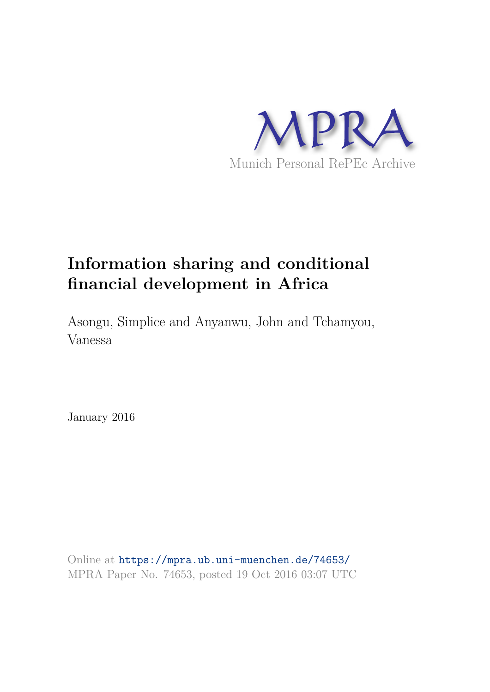

# **Information sharing and conditional financial development in Africa**

Asongu, Simplice and Anyanwu, John and Tchamyou, Vanessa

January 2016

Online at https://mpra.ub.uni-muenchen.de/74653/ MPRA Paper No. 74653, posted 19 Oct 2016 03:07 UTC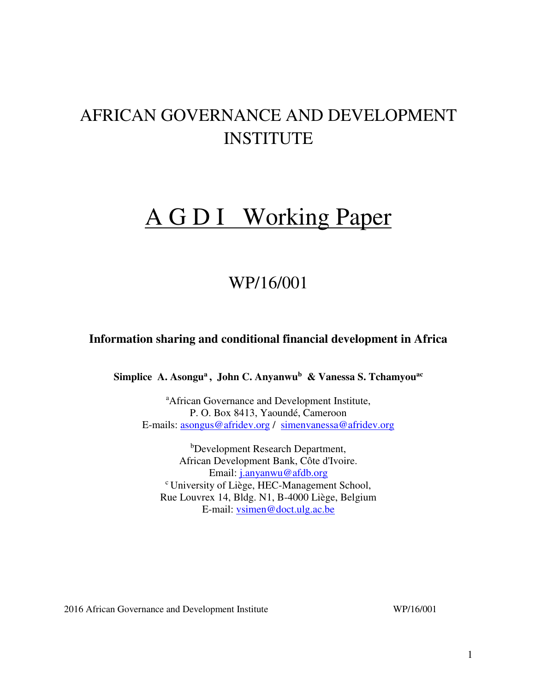# AFRICAN GOVERNANCE AND DEVELOPMENT INSTITUTE

# A G D I Working Paper

# WP/16/001

# **Information sharing and conditional financial development in Africa**

**Simplice A. Asongu<sup>a</sup>, John C. Anyanwu<sup>b</sup> & Vanessa S. Tchamyouac**

<sup>a</sup>African Governance and Development Institute, P. O. Box 8413, Yaoundé, Cameroon E-mails: [asongus@afridev.org](mailto:asongus@afridev.org) / [simenvanessa@afridev.org](mailto:simenvanessa@afridev.org)

<sup>b</sup>Development Research Department, African Development Bank, Côte d'Ivoire. Email: [j.anyanwu@afdb.org](mailto:j.anyanwu@afdb.org)  <sup>c</sup>University of Liège, HEC-Management School, Rue Louvrex 14, Bldg. N1, B-4000 Liège, Belgium E-mail: [vsimen@doct.ulg.ac.be](mailto:vsimen@doct.ulg.ac.be)

2016 African Governance and Development Institute WP/16/001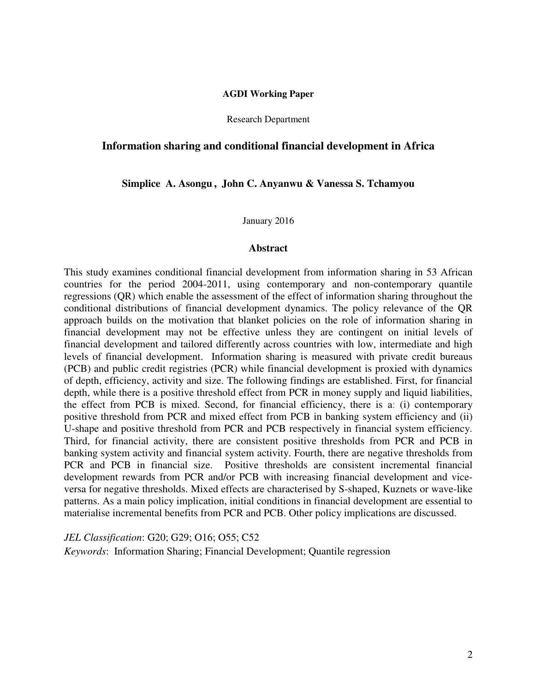#### **AGDI Working Paper**

Research Department

#### **Information sharing and conditional financial development in Africa**

**Simplice A. Asongu , John C. Anyanwu & Vanessa S. Tchamyou** 

January 2016

#### **Abstract**

This study examines conditional financial development from information sharing in 53 African countries for the period 2004-2011, using contemporary and non-contemporary quantile regressions (QR) which enable the assessment of the effect of information sharing throughout the conditional distributions of financial development dynamics. The policy relevance of the QR approach builds on the motivation that blanket policies on the role of information sharing in financial development may not be effective unless they are contingent on initial levels of financial development and tailored differently across countries with low, intermediate and high levels of financial development. Information sharing is measured with private credit bureaus (PCB) and public credit registries (PCR) while financial development is proxied with dynamics of depth, efficiency, activity and size. The following findings are established. First, for financial depth, while there is a positive threshold effect from PCR in money supply and liquid liabilities, the effect from PCB is mixed. Second, for financial efficiency, there is a: (i) contemporary positive threshold from PCR and mixed effect from PCB in banking system efficiency and (ii) U-shape and positive threshold from PCR and PCB respectively in financial system efficiency. Third, for financial activity, there are consistent positive thresholds from PCR and PCB in banking system activity and financial system activity. Fourth, there are negative thresholds from PCR and PCB in financial size. Positive thresholds are consistent incremental financial development rewards from PCR and/or PCB with increasing financial development and viceversa for negative thresholds. Mixed effects are characterised by S-shaped, Kuznets or wave-like patterns. As a main policy implication, initial conditions in financial development are essential to materialise incremental benefits from PCR and PCB. Other policy implications are discussed.

*JEL Classification*: G20; G29; O16; O55; C52

*Keywords*: Information Sharing; Financial Development; Quantile regression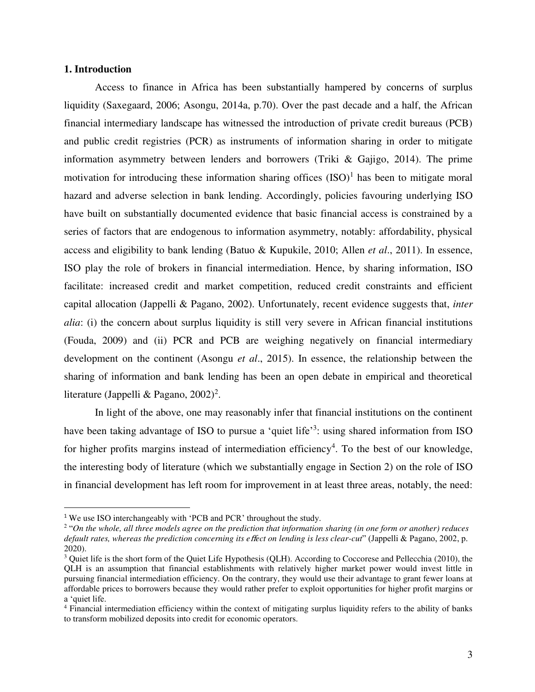#### **1. Introduction**

l

Access to finance in Africa has been substantially hampered by concerns of surplus liquidity (Saxegaard, 2006; Asongu, 2014a, p.70). Over the past decade and a half, the African financial intermediary landscape has witnessed the introduction of private credit bureaus (PCB) and public credit registries (PCR) as instruments of information sharing in order to mitigate information asymmetry between lenders and borrowers (Triki & Gajigo, 2014). The prime motivation for introducing these information sharing offices  $(ISO)^1$  has been to mitigate moral hazard and adverse selection in bank lending. Accordingly, policies favouring underlying ISO have built on substantially documented evidence that basic financial access is constrained by a series of factors that are endogenous to information asymmetry, notably: affordability, physical access and eligibility to bank lending (Batuo & Kupukile, 2010; Allen *et al*., 2011). In essence, ISO play the role of brokers in financial intermediation. Hence, by sharing information, ISO facilitate: increased credit and market competition, reduced credit constraints and efficient capital allocation (Jappelli & Pagano, 2002). Unfortunately, recent evidence suggests that, *inter alia*: (i) the concern about surplus liquidity is still very severe in African financial institutions (Fouda, 2009) and (ii) PCR and PCB are weighing negatively on financial intermediary development on the continent (Asongu *et al*., 2015). In essence, the relationship between the sharing of information and bank lending has been an open debate in empirical and theoretical literature (Jappelli & Pagano,  $2002$ )<sup>2</sup>.

In light of the above, one may reasonably infer that financial institutions on the continent have been taking advantage of ISO to pursue a 'quiet life'<sup>3</sup>: using shared information from ISO for higher profits margins instead of intermediation efficiency<sup>4</sup>. To the best of our knowledge, the interesting body of literature (which we substantially engage in Section 2) on the role of ISO in financial development has left room for improvement in at least three areas, notably, the need:

<sup>&</sup>lt;sup>1</sup> We use ISO interchangeably with 'PCB and PCR' throughout the study.

<sup>2</sup> "*On the whole, all three models agree on the prediction that information sharing (in one form or another) reduces default rates, whereas the prediction concerning its e*ff*ect on lending is less clear-cut*" (Jappelli & Pagano, 2002, p. 2020).

<sup>&</sup>lt;sup>3</sup> Quiet life is the short form of the Quiet Life Hypothesis (QLH). According to Coccorese and Pellecchia (2010), the QLH is an assumption that financial establishments with relatively higher market power would invest little in pursuing financial intermediation efficiency. On the contrary, they would use their advantage to grant fewer loans at affordable prices to borrowers because they would rather prefer to exploit opportunities for higher profit margins or a 'quiet life.

<sup>&</sup>lt;sup>4</sup> Financial intermediation efficiency within the context of mitigating surplus liquidity refers to the ability of banks to transform mobilized deposits into credit for economic operators.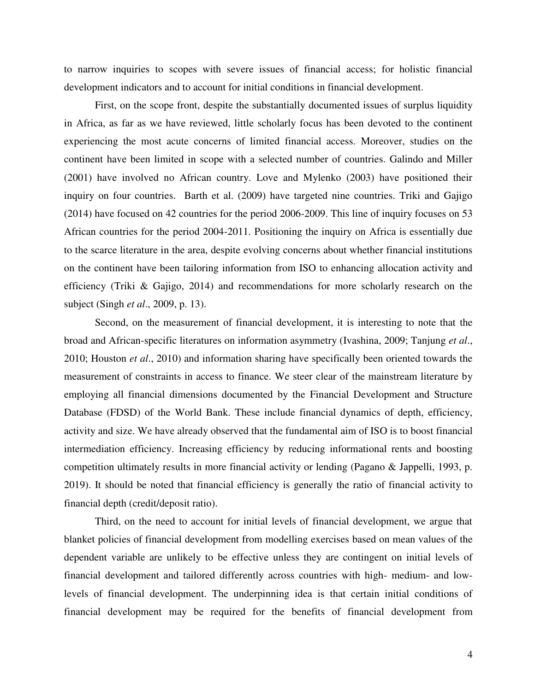to narrow inquiries to scopes with severe issues of financial access; for holistic financial development indicators and to account for initial conditions in financial development.

 First, on the scope front, despite the substantially documented issues of surplus liquidity in Africa, as far as we have reviewed, little scholarly focus has been devoted to the continent experiencing the most acute concerns of limited financial access. Moreover, studies on the continent have been limited in scope with a selected number of countries. Galindo and Miller (2001) have involved no African country. Love and Mylenko (2003) have positioned their inquiry on four countries. Barth et al. (2009) have targeted nine countries. Triki and Gajigo (2014) have focused on 42 countries for the period 2006-2009. This line of inquiry focuses on 53 African countries for the period 2004-2011. Positioning the inquiry on Africa is essentially due to the scarce literature in the area, despite evolving concerns about whether financial institutions on the continent have been tailoring information from ISO to enhancing allocation activity and efficiency (Triki & Gajigo, 2014) and recommendations for more scholarly research on the subject (Singh *et al*., 2009, p. 13).

 Second, on the measurement of financial development, it is interesting to note that the broad and African-specific literatures on information asymmetry (Ivashina, 2009; Tanjung *et al*., 2010; Houston *et al*., 2010) and information sharing have specifically been oriented towards the measurement of constraints in access to finance. We steer clear of the mainstream literature by employing all financial dimensions documented by the Financial Development and Structure Database (FDSD) of the World Bank. These include financial dynamics of depth, efficiency, activity and size. We have already observed that the fundamental aim of ISO is to boost financial intermediation efficiency. Increasing efficiency by reducing informational rents and boosting competition ultimately results in more financial activity or lending (Pagano & Jappelli, 1993, p. 2019). It should be noted that financial efficiency is generally the ratio of financial activity to financial depth (credit/deposit ratio).

Third, on the need to account for initial levels of financial development, we argue that blanket policies of financial development from modelling exercises based on mean values of the dependent variable are unlikely to be effective unless they are contingent on initial levels of financial development and tailored differently across countries with high- medium- and lowlevels of financial development. The underpinning idea is that certain initial conditions of financial development may be required for the benefits of financial development from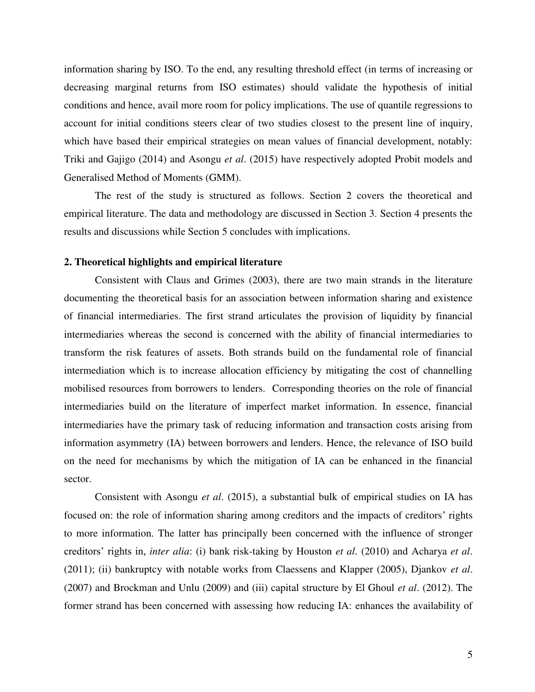information sharing by ISO. To the end, any resulting threshold effect (in terms of increasing or decreasing marginal returns from ISO estimates) should validate the hypothesis of initial conditions and hence, avail more room for policy implications. The use of quantile regressions to account for initial conditions steers clear of two studies closest to the present line of inquiry, which have based their empirical strategies on mean values of financial development, notably: Triki and Gajigo (2014) and Asongu *et al*. (2015) have respectively adopted Probit models and Generalised Method of Moments (GMM).

The rest of the study is structured as follows. Section 2 covers the theoretical and empirical literature. The data and methodology are discussed in Section 3. Section 4 presents the results and discussions while Section 5 concludes with implications.

#### **2. Theoretical highlights and empirical literature**

 Consistent with Claus and Grimes (2003), there are two main strands in the literature documenting the theoretical basis for an association between information sharing and existence of financial intermediaries. The first strand articulates the provision of liquidity by financial intermediaries whereas the second is concerned with the ability of financial intermediaries to transform the risk features of assets. Both strands build on the fundamental role of financial intermediation which is to increase allocation efficiency by mitigating the cost of channelling mobilised resources from borrowers to lenders. Corresponding theories on the role of financial intermediaries build on the literature of imperfect market information. In essence, financial intermediaries have the primary task of reducing information and transaction costs arising from information asymmetry (IA) between borrowers and lenders. Hence, the relevance of ISO build on the need for mechanisms by which the mitigation of IA can be enhanced in the financial sector.

Consistent with Asongu *et al*. (2015), a substantial bulk of empirical studies on IA has focused on: the role of information sharing among creditors and the impacts of creditors' rights to more information. The latter has principally been concerned with the influence of stronger creditors' rights in, *inter alia*: (i) bank risk-taking by Houston *et al*. (2010) and Acharya *et al*. (2011); (ii) bankruptcy with notable works from Claessens and Klapper (2005), Djankov *et al*. (2007) and Brockman and Unlu (2009) and (iii) capital structure by El Ghoul *et al*. (2012). The former strand has been concerned with assessing how reducing IA: enhances the availability of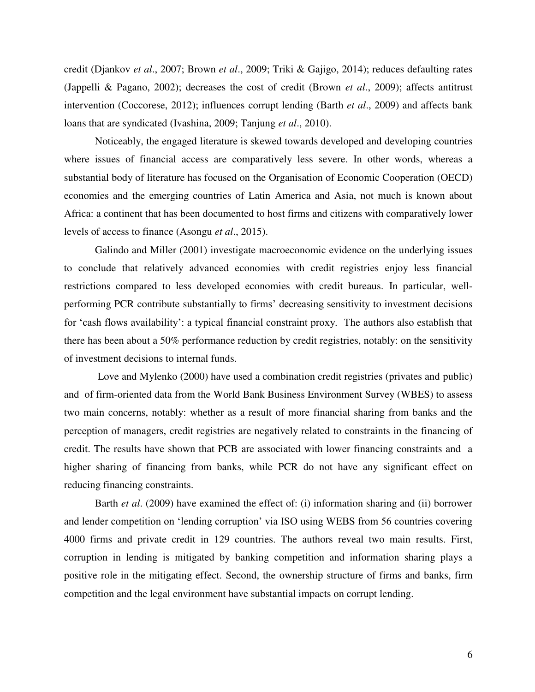credit (Djankov *et al*., 2007; Brown *et al*., 2009; Triki & Gajigo, 2014); reduces defaulting rates (Jappelli & Pagano, 2002); decreases the cost of credit (Brown *et al*., 2009); affects antitrust intervention (Coccorese, 2012); influences corrupt lending (Barth *et al*., 2009) and affects bank loans that are syndicated (Ivashina, 2009; Tanjung *et al*., 2010).

 Noticeably, the engaged literature is skewed towards developed and developing countries where issues of financial access are comparatively less severe. In other words, whereas a substantial body of literature has focused on the Organisation of Economic Cooperation (OECD) economies and the emerging countries of Latin America and Asia, not much is known about Africa: a continent that has been documented to host firms and citizens with comparatively lower levels of access to finance (Asongu *et al*., 2015).

Galindo and Miller (2001) investigate macroeconomic evidence on the underlying issues to conclude that relatively advanced economies with credit registries enjoy less financial restrictions compared to less developed economies with credit bureaus. In particular, wellperforming PCR contribute substantially to firms' decreasing sensitivity to investment decisions for 'cash flows availability': a typical financial constraint proxy. The authors also establish that there has been about a 50% performance reduction by credit registries, notably: on the sensitivity of investment decisions to internal funds.

 Love and Mylenko (2000) have used a combination credit registries (privates and public) and of firm-oriented data from the World Bank Business Environment Survey (WBES) to assess two main concerns, notably: whether as a result of more financial sharing from banks and the perception of managers, credit registries are negatively related to constraints in the financing of credit. The results have shown that PCB are associated with lower financing constraints and a higher sharing of financing from banks, while PCR do not have any significant effect on reducing financing constraints.

Barth *et al*. (2009) have examined the effect of: (i) information sharing and (ii) borrower and lender competition on 'lending corruption' via ISO using WEBS from 56 countries covering 4000 firms and private credit in 129 countries. The authors reveal two main results. First, corruption in lending is mitigated by banking competition and information sharing plays a positive role in the mitigating effect. Second, the ownership structure of firms and banks, firm competition and the legal environment have substantial impacts on corrupt lending.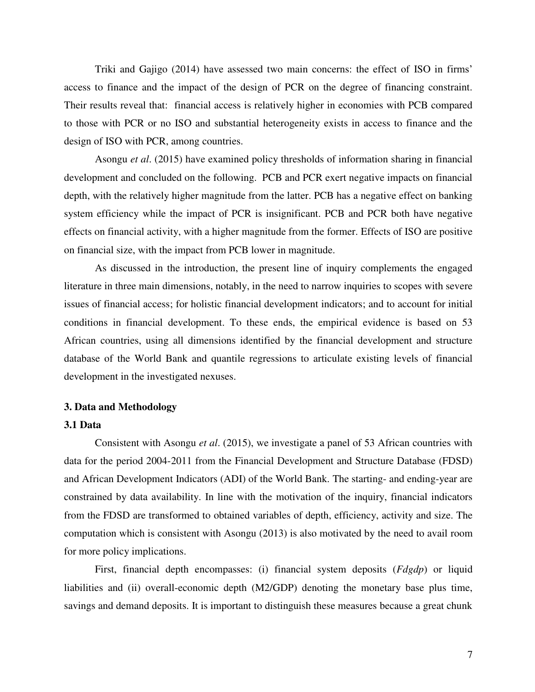Triki and Gajigo (2014) have assessed two main concerns: the effect of ISO in firms' access to finance and the impact of the design of PCR on the degree of financing constraint. Their results reveal that: financial access is relatively higher in economies with PCB compared to those with PCR or no ISO and substantial heterogeneity exists in access to finance and the design of ISO with PCR, among countries.

Asongu *et al*. (2015) have examined policy thresholds of information sharing in financial development and concluded on the following. PCB and PCR exert negative impacts on financial depth, with the relatively higher magnitude from the latter. PCB has a negative effect on banking system efficiency while the impact of PCR is insignificant. PCB and PCR both have negative effects on financial activity, with a higher magnitude from the former. Effects of ISO are positive on financial size, with the impact from PCB lower in magnitude.

As discussed in the introduction, the present line of inquiry complements the engaged literature in three main dimensions, notably, in the need to narrow inquiries to scopes with severe issues of financial access; for holistic financial development indicators; and to account for initial conditions in financial development. To these ends, the empirical evidence is based on 53 African countries, using all dimensions identified by the financial development and structure database of the World Bank and quantile regressions to articulate existing levels of financial development in the investigated nexuses.

#### **3. Data and Methodology**

#### **3.1 Data**

 Consistent with Asongu *et al*. (2015), we investigate a panel of 53 African countries with data for the period 2004-2011 from the Financial Development and Structure Database (FDSD) and African Development Indicators (ADI) of the World Bank. The starting- and ending-year are constrained by data availability. In line with the motivation of the inquiry, financial indicators from the FDSD are transformed to obtained variables of depth, efficiency, activity and size. The computation which is consistent with Asongu (2013) is also motivated by the need to avail room for more policy implications.

 First, financial depth encompasses: (i) financial system deposits (*Fdgdp*) or liquid liabilities and (ii) overall-economic depth (M2/GDP) denoting the monetary base plus time, savings and demand deposits. It is important to distinguish these measures because a great chunk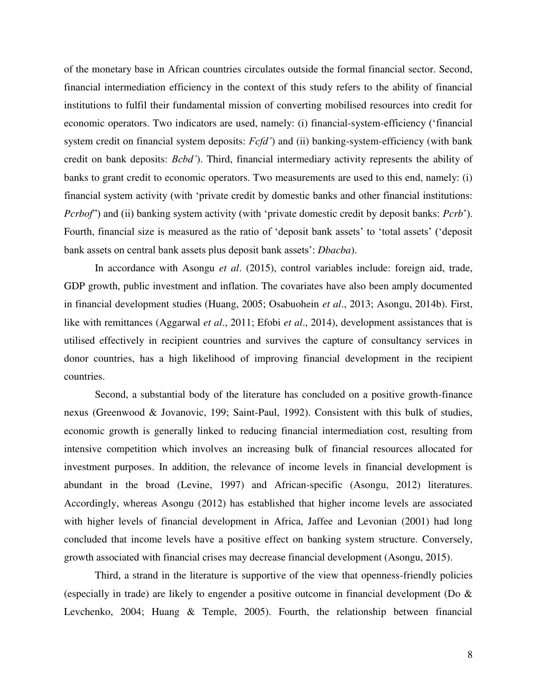of the monetary base in African countries circulates outside the formal financial sector. Second, financial intermediation efficiency in the context of this study refers to the ability of financial institutions to fulfil their fundamental mission of converting mobilised resources into credit for economic operators. Two indicators are used, namely: (i) financial-system-efficiency ('financial system credit on financial system deposits: *Fcfd'*) and (ii) banking-system-efficiency (with bank credit on bank deposits: *Bcbd'*). Third, financial intermediary activity represents the ability of banks to grant credit to economic operators. Two measurements are used to this end, namely: (i) financial system activity (with 'private credit by domestic banks and other financial institutions: *Pcrbof*") and (ii) banking system activity (with 'private domestic credit by deposit banks: *Pcrb*'). Fourth, financial size is measured as the ratio of 'deposit bank assets' to 'total assets' ('deposit bank assets on central bank assets plus deposit bank assets': *Dbacba*).

 In accordance with Asongu *et al*. (2015), control variables include: foreign aid, trade, GDP growth, public investment and inflation. The covariates have also been amply documented in financial development studies (Huang, 2005; Osabuohein *et al*., 2013; Asongu, 2014b). First, like with remittances (Aggarwal *et al*., 2011; Efobi *et al*., 2014), development assistances that is utilised effectively in recipient countries and survives the capture of consultancy services in donor countries, has a high likelihood of improving financial development in the recipient countries.

 Second, a substantial body of the literature has concluded on a positive growth-finance nexus (Greenwood & Jovanovic, 199; Saint-Paul, 1992). Consistent with this bulk of studies, economic growth is generally linked to reducing financial intermediation cost, resulting from intensive competition which involves an increasing bulk of financial resources allocated for investment purposes. In addition, the relevance of income levels in financial development is abundant in the broad (Levine, 1997) and African-specific (Asongu, 2012) literatures. Accordingly, whereas Asongu (2012) has established that higher income levels are associated with higher levels of financial development in Africa, Jaffee and Levonian (2001) had long concluded that income levels have a positive effect on banking system structure. Conversely, growth associated with financial crises may decrease financial development (Asongu, 2015).

 Third, a strand in the literature is supportive of the view that openness-friendly policies (especially in trade) are likely to engender a positive outcome in financial development (Do & Levchenko, 2004; Huang & Temple, 2005). Fourth, the relationship between financial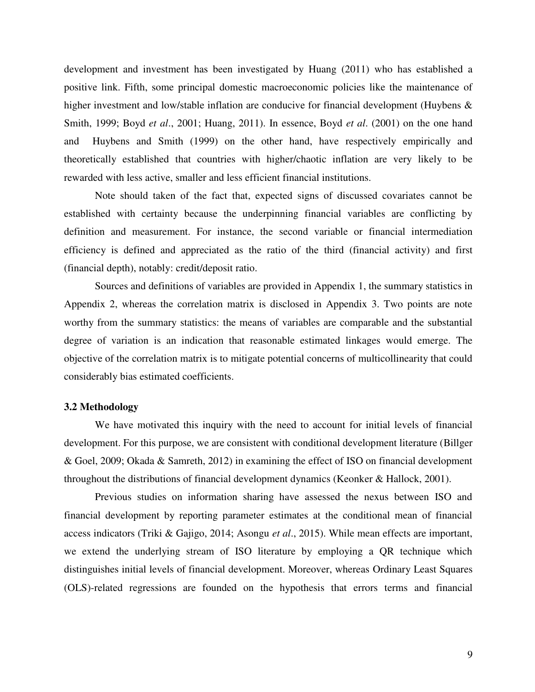development and investment has been investigated by Huang (2011) who has established a positive link. Fifth, some principal domestic macroeconomic policies like the maintenance of higher investment and low/stable inflation are conducive for financial development (Huybens & Smith, 1999; Boyd *et al*., 2001; Huang, 2011). In essence, Boyd *et al*. (2001) on the one hand and Huybens and Smith (1999) on the other hand, have respectively empirically and theoretically established that countries with higher/chaotic inflation are very likely to be rewarded with less active, smaller and less efficient financial institutions.

 Note should taken of the fact that, expected signs of discussed covariates cannot be established with certainty because the underpinning financial variables are conflicting by definition and measurement. For instance, the second variable or financial intermediation efficiency is defined and appreciated as the ratio of the third (financial activity) and first (financial depth), notably: credit/deposit ratio.

Sources and definitions of variables are provided in Appendix 1, the summary statistics in Appendix 2, whereas the correlation matrix is disclosed in Appendix 3. Two points are note worthy from the summary statistics: the means of variables are comparable and the substantial degree of variation is an indication that reasonable estimated linkages would emerge. The objective of the correlation matrix is to mitigate potential concerns of multicollinearity that could considerably bias estimated coefficients.

#### **3.2 Methodology**

We have motivated this inquiry with the need to account for initial levels of financial development. For this purpose, we are consistent with conditional development literature (Billger & Goel, 2009; Okada & Samreth, 2012) in examining the effect of ISO on financial development throughout the distributions of financial development dynamics (Keonker & Hallock, 2001).

Previous studies on information sharing have assessed the nexus between ISO and financial development by reporting parameter estimates at the conditional mean of financial access indicators (Triki & Gajigo, 2014; Asongu *et al*., 2015). While mean effects are important, we extend the underlying stream of ISO literature by employing a QR technique which distinguishes initial levels of financial development. Moreover, whereas Ordinary Least Squares (OLS)-related regressions are founded on the hypothesis that errors terms and financial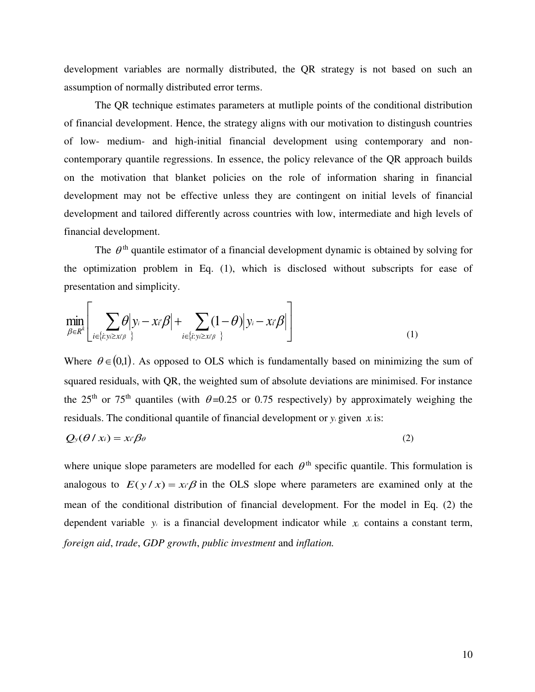development variables are normally distributed, the QR strategy is not based on such an assumption of normally distributed error terms.

The QR technique estimates parameters at mutliple points of the conditional distribution of financial development. Hence, the strategy aligns with our motivation to distingush countries of low- medium- and high-initial financial development using contemporary and noncontemporary quantile regressions. In essence, the policy relevance of the QR approach builds on the motivation that blanket policies on the role of information sharing in financial development may not be effective unless they are contingent on initial levels of financial development and tailored differently across countries with low, intermediate and high levels of financial development.

The  $\theta$ <sup>th</sup> quantile estimator of a financial development dynamic is obtained by solving for the optimization problem in Eq. (1), which is disclosed without subscripts for ease of presentation and simplicity.

$$
\min_{\beta \in R^k} \left[ \sum_{i \in \{i: y_i \geq x \mid \beta\}} \theta \middle| y_i - x_i \beta \middle| + \sum_{i \in \{i: y_i \geq x \mid \beta\}} (1 - \theta) \middle| y_i - x_i \beta \middle| \right] \tag{1}
$$

Where  $\theta \in (0,1)$ . As opposed to OLS which is fundamentally based on minimizing the sum of squared residuals, with QR, the weighted sum of absolute deviations are minimised. For instance the 25<sup>th</sup> or 75<sup>th</sup> quantiles (with  $\theta$ =0.25 or 0.75 respectively) by approximately weighing the residuals. The conditional quantile of financial development or  $y_i$  given  $x_i$  is:

$$
Q_{y}(\theta \mid x_{i}) = x_{i'}\beta_{\theta} \tag{2}
$$

where unique slope parameters are modelled for each  $\theta^{\text{th}}$  specific quantile. This formulation is analogous to  $E(y/x) = x \beta$  in the OLS slope where parameters are examined only at the mean of the conditional distribution of financial development. For the model in Eq. (2) the dependent variable  $y_i$  is a financial development indicator while  $x_i$  contains a constant term, *foreign aid*, *trade*, *GDP growth*, *public investment* and *inflation.*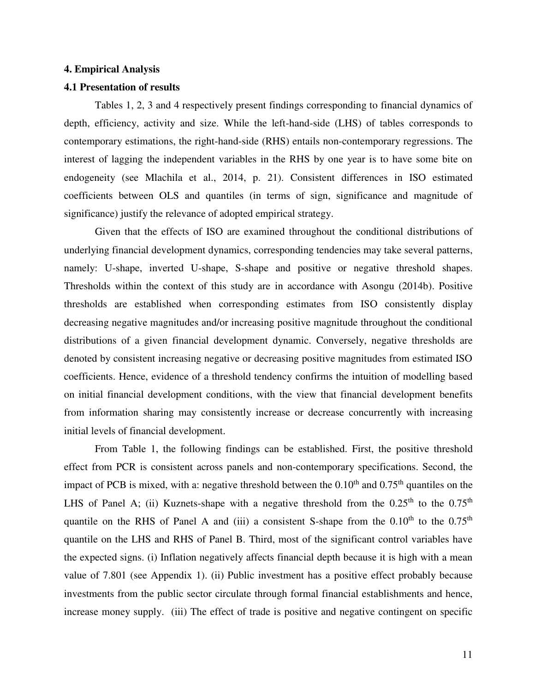#### **4. Empirical Analysis**

#### **4.1 Presentation of results**

 Tables 1, 2, 3 and 4 respectively present findings corresponding to financial dynamics of depth, efficiency, activity and size. While the left-hand-side (LHS) of tables corresponds to contemporary estimations, the right-hand-side (RHS) entails non-contemporary regressions. The interest of lagging the independent variables in the RHS by one year is to have some bite on endogeneity (see Mlachila et al., 2014, p. 21). Consistent differences in ISO estimated coefficients between OLS and quantiles (in terms of sign, significance and magnitude of significance) justify the relevance of adopted empirical strategy.

 Given that the effects of ISO are examined throughout the conditional distributions of underlying financial development dynamics, corresponding tendencies may take several patterns, namely: U-shape, inverted U-shape, S-shape and positive or negative threshold shapes. Thresholds within the context of this study are in accordance with Asongu (2014b). Positive thresholds are established when corresponding estimates from ISO consistently display decreasing negative magnitudes and/or increasing positive magnitude throughout the conditional distributions of a given financial development dynamic. Conversely, negative thresholds are denoted by consistent increasing negative or decreasing positive magnitudes from estimated ISO coefficients. Hence, evidence of a threshold tendency confirms the intuition of modelling based on initial financial development conditions, with the view that financial development benefits from information sharing may consistently increase or decrease concurrently with increasing initial levels of financial development.

 From Table 1, the following findings can be established. First, the positive threshold effect from PCR is consistent across panels and non-contemporary specifications. Second, the impact of PCB is mixed, with a: negative threshold between the  $0.10<sup>th</sup>$  and  $0.75<sup>th</sup>$  quantiles on the LHS of Panel A; (ii) Kuznets-shape with a negative threshold from the  $0.25<sup>th</sup>$  to the  $0.75<sup>th</sup>$ quantile on the RHS of Panel A and (iii) a consistent S-shape from the  $0.10<sup>th</sup>$  to the  $0.75<sup>th</sup>$ quantile on the LHS and RHS of Panel B. Third, most of the significant control variables have the expected signs. (i) Inflation negatively affects financial depth because it is high with a mean value of 7.801 (see Appendix 1). (ii) Public investment has a positive effect probably because investments from the public sector circulate through formal financial establishments and hence, increase money supply. (iii) The effect of trade is positive and negative contingent on specific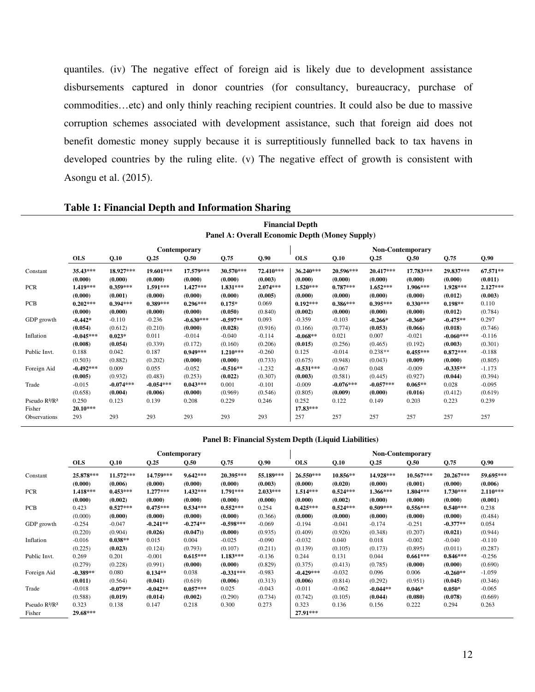quantiles. (iv) The negative effect of foreign aid is likely due to development assistance disbursements captured in donor countries (for consultancy, bureaucracy, purchase of commodities…etc) and only thinly reaching recipient countries. It could also be due to massive corruption schemes associated with development assistance, such that foreign aid does not benefit domestic money supply because it is surreptitiously funnelled back to tax havens in developed countries by the ruling elite. (v) The negative effect of growth is consistent with Asongu et al. (2015).

**Financial Depth** 

|                                                 | Panel A: Overall Economic Depth (Money Supply) |             |             |              |            |            |                   |             |             |                  |             |            |  |  |
|-------------------------------------------------|------------------------------------------------|-------------|-------------|--------------|------------|------------|-------------------|-------------|-------------|------------------|-------------|------------|--|--|
|                                                 |                                                |             |             | Contemporary |            |            |                   |             |             | Non-Contemporary |             |            |  |  |
|                                                 | <b>OLS</b>                                     | Q.10        | Q.25        | Q.50         | Q.75       | Q.90       | <b>OLS</b>        | Q.10        | Q.25        | Q.50             | Q.75        | Q.90       |  |  |
| Constant                                        | 35.43***                                       | 18.927***   | 19.601***   | 17.579***    | 30.570***  | 72.410***  | 36.240***         | 20.596***   | 20.417***   | 17.783***        | 29.837***   | 67.571**   |  |  |
|                                                 | (0.000)                                        | (0.000)     | (0.000)     | (0.000)      | (0.000)    | (0.003)    | (0.000)           | (0.000)     | (0.000)     | (0.000)          | (0.000)     | (0.011)    |  |  |
| <b>PCR</b>                                      | 1.419***                                       | $0.359***$  | $1.591***$  | $1.427***$   | $1.831***$ | $2.074***$ | $1.520***$        | $0.787***$  | $1.652***$  | 1.906***         | 1.928***    | $2.127***$ |  |  |
|                                                 | (0.000)                                        | (0.001)     | (0.000)     | (0.000)      | (0.000)    | (0.005)    | (0.000)           | (0.000)     | (0.000)     | (0.000)          | (0.012)     | (0.003)    |  |  |
| <b>PCB</b>                                      | $0.202***$                                     | $0.394***$  | $0.389***$  | $0.296***$   | $0.175*$   | 0.069      | $0.192***$        | $0.386***$  | $0.395***$  | $0.330***$       | $0.198**$   | 0.110      |  |  |
|                                                 | (0.000)                                        | (0.000)     | (0.000)     | (0.000)      | (0.050)    | (0.840)    | (0.002)           | (0.000)     | (0.000)     | (0.000)          | (0.012)     | (0.784)    |  |  |
| GDP growth                                      | $-0.442*$                                      | $-0.110$    | $-0.236$    | $-0.630***$  | $-0.597**$ | 0.093      | $-0.359$          | $-0.103$    | $-0.266*$   | $-0.360*$        | $-0.475**$  | 0.297      |  |  |
|                                                 | (0.054)                                        | (0.612)     | (0.210)     | (0.000)      | (0.028)    | (0.916)    | (0.166)           | (0.774)     | (0.053)     | (0.066)          | (0.018)     | (0.746)    |  |  |
| Inflation                                       | $-0.045***$                                    | $0.023*$    | 0.011       | $-0.014$     | $-0.040$   | $-0.114$   | $-0.068**$        | 0.021       | 0.007       | $-0.021$         | $-0.060***$ | $-0.116$   |  |  |
|                                                 | (0.008)                                        | (0.054)     | (0.339)     | (0.172)      | (0.160)    | (0.206)    | (0.015)           | (0.256)     | (0.465)     | (0.192)          | (0.003)     | (0.301)    |  |  |
| Public Invt.                                    | 0.188                                          | 0.042       | 0.187       | $0.949***$   | $1.210***$ | $-0.260$   | 0.125             | $-0.014$    | $0.238**$   | $0.455***$       | $0.872***$  | $-0.188$   |  |  |
|                                                 | (0.503)                                        | (0.882)     | (0.202)     | (0.000)      | (0.000)    | (0.733)    | (0.675)           | (0.948)     | (0.043)     | (0.009)          | (0.000)     | (0.805)    |  |  |
| Foreign Aid                                     | $-0.492***$                                    | 0.009       | 0.055       | $-0.052$     | $-0.516**$ | $-1.232$   | $-0.531***$       | $-0.067$    | 0.048       | $-0.009$         | $-0.335**$  | $-1.173$   |  |  |
|                                                 | (0.005)                                        | (0.932)     | (0.483)     | (0.253)      | (0.022)    | (0.307)    | (0.003)           | (0.581)     | (0.445)     | (0.927)          | (0.044)     | (0.394)    |  |  |
| Trade                                           | $-0.015$                                       | $-0.074***$ | $-0.054***$ | $0.043***$   | 0.001      | $-0.101$   | $-0.009$          | $-0.076***$ | $-0.057***$ | $0.065**$        | 0.028       | $-0.095$   |  |  |
|                                                 | (0.658)                                        | (0.004)     | (0.006)     | (0.000)      | (0.969)    | (0.546)    | (0.805)           | (0.009)     | (0.000)     | (0.016)          | (0.412)     | (0.619)    |  |  |
| Pseudo R <sup>2</sup> /R <sup>2</sup><br>Fisher | 0.250<br>$20.10***$                            | 0.123       | 0.139       | 0.208        | 0.229      | 0.246      | 0.252<br>17.83*** | 0.122       | 0.149       | 0.203            | 0.223       | 0.239      |  |  |
| Observations                                    | 293                                            | 293         | 293         | 293          | 293        | 293        | 257               | 257         | 257         | 257              | 257         | 257        |  |  |

#### **Table 1: Financial Depth and Information Sharing**

|                                       |                      |                       |                       | <b>Contemporary</b>   |                      |                       | <b>Non-Contemporary</b> |                       |                       |                        |                        |                       |  |
|---------------------------------------|----------------------|-----------------------|-----------------------|-----------------------|----------------------|-----------------------|-------------------------|-----------------------|-----------------------|------------------------|------------------------|-----------------------|--|
|                                       | <b>OLS</b>           | Q.10                  | Q.25                  | Q.50                  | Q.75                 | Q.90                  | <b>OLS</b>              | Q.10                  | Q.25                  | Q.50                   | Q.75                   | Q.90                  |  |
| Constant                              | 25.878***<br>(0.000) | 11.572***<br>(0.006)  | 14.759***<br>(0.000)  | $9.642***$<br>(0.000) | 20.395***<br>(0.000) | 55.189***<br>(0.003)  | 26.550***<br>(0.000)    | 10.856**<br>(0.020)   | 14.928***<br>(0.000)  | $10.567***$<br>(0.001) | $20.267***$<br>(0.000) | 59.695***<br>(0.006)  |  |
| <b>PCR</b>                            | 1.418***<br>(0.000)  | $0.453***$<br>(0.002) | $1.277***$<br>(0.000) | $1.432***$<br>(0.000) | 1.791***<br>(0.000)  | $2.033***$<br>(0.000) | $1.514***$<br>(0.000)   | $0.524***$<br>(0.002) | $1.366***$<br>(0.000) | $1.804***$<br>(0.000)  | $1.730***$<br>(0.000)  | $2.110***$<br>(0.001) |  |
| <b>PCB</b>                            | 0.423                | $0.527***$            | $0.475***$            | $0.534***$            | $0.552***$           | 0.254                 | $0.425***$              | $0.524***$            | $0.509***$            | $0.556***$             | $0.540***$             | 0.238                 |  |
|                                       | (0.000)              | (0.000)               | (0.000)               | (0.000)               | (0.000)              | (0.366)               | (0.000)                 | (0.000)               | (0.000)               | (0.000)                | (0.000)                | (0.484)               |  |
| GDP growth                            | $-0.254$             | $-0.047$              | $-0.241**$            | $-0.274**$            | $-0.598***$          | $-0.069$              | $-0.194$                | $-0.041$              | $-0.174$              | $-0.251$               | $-0.377**$             | 0.054                 |  |
|                                       | (0.220)              | (0.904)               | (0.026)               | (0.047)               | (0.000)              | (0.935)               | (0.409)                 | (0.926)               | (0.348)               | (0.207)                | (0.021)                | (0.944)               |  |
| Inflation                             | $-0.016$             | $0.038**$             | 0.015                 | 0.004                 | $-0.025$             | $-0.090$              | $-0.032$                | 0.040                 | 0.018                 | $-0.002$               | $-0.040$               | $-0.110$              |  |
|                                       | (0.225)              | (0.023)               | (0.124)               | (0.793)               | (0.107)              | (0.211)               | (0.139)                 | (0.105)               | (0.173)               | (0.895)                | (0.011)                | (0.287)               |  |
| Public Invt.                          | 0.269                | 0.201                 | $-0.001$              | $0.615***$            | $1.183***$           | $-0.136$              | 0.244                   | 0.131                 | 0.044                 | $0.661***$             | $0.846***$             | $-0.256$              |  |
|                                       | (0.279)              | (0.228)               | (0.991)               | (0.000)               | (0.000)              | (0.829)               | (0.375)                 | (0.413)               | (0.785)               | (0.000)                | (0.000)                | (0.690)               |  |
| Foreign Aid                           | $-0.389**$           | 0.080                 | $0.134**$             | 0.038                 | $-0.331***$          | $-0.983$              | $-0.429***$             | $-0.032$              | 0.096                 | 0.006                  | $-0.260**$             | $-1.059$              |  |
|                                       | (0.011)              | (0.564)               | (0.041)               | (0.619)               | (0.006)              | (0.313)               | (0.006)                 | (0.814)               | (0.292)               | (0.951)                | (0.045)                | (0.346)               |  |
| Trade                                 | $-0.018$             | $-0.079**$            | $-0.042**$            | $0.057***$            | 0.025                | $-0.043$              | $-0.011$                | $-0.062$              | $-0.044**$            | $0.046*$               | $0.050*$               | $-0.065$              |  |
|                                       | (0.588)              | (0.019)               | (0.014)               | (0.002)               | (0.290)              | (0.734)               | (0.742)                 | (0.105)               | (0.044)               | (0.080)                | (0.078)                | (0.669)               |  |
| Pseudo R <sup>2</sup> /R <sup>2</sup> | 0.323                | 0.138                 | 0.147                 | 0.218                 | 0.300                | 0.273                 | 0.323                   | 0.136                 | 0.156                 | 0.222                  | 0.294                  | 0.263                 |  |
| Fisher                                | 29.68***             |                       |                       |                       |                      |                       | $27.91***$              |                       |                       |                        |                        |                       |  |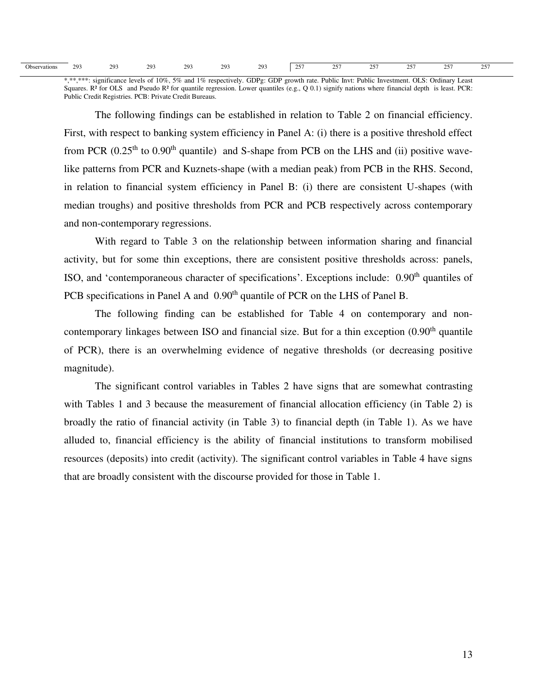|  | $20^{\circ}$<br>203<br>$20^\circ$<br>203<br>2O.<br>- --<br>- -<br>$\sim$ $\sim$ $\sim$<br>י ה<br>- - -<br>າດ<br>$\cap \subset$<br>$\sim$<br>- ב<br>Obser<br>,<br>rvations<br><u>.</u><br>ت<br>--<br>---<br>--<br>--<br>$-1$<br>$-1$<br>.<br>___<br>$\sim$<br>.<br>___<br>$\sim$ |
|--|---------------------------------------------------------------------------------------------------------------------------------------------------------------------------------------------------------------------------------------------------------------------------------|
|--|---------------------------------------------------------------------------------------------------------------------------------------------------------------------------------------------------------------------------------------------------------------------------------|

\*,\*\*,\*\*\*: significance levels of 10%, 5% and 1% respectively. GDPg: GDP growth rate. Public Invt: Public Investment. OLS: Ordinary Least Squares. R<sup>2</sup> for OLS and Pseudo R<sup>2</sup> for quantile regression. Lower quantiles  $(e.g., Q 0.1)$  signify nations where financial depth is least. PCR: Public Credit Registries. PCB: Private Credit Bureaus.

 The following findings can be established in relation to Table 2 on financial efficiency. First, with respect to banking system efficiency in Panel A: (i) there is a positive threshold effect from PCR  $(0.25<sup>th</sup>$  to  $0.90<sup>th</sup>$  quantile) and S-shape from PCB on the LHS and (ii) positive wavelike patterns from PCR and Kuznets-shape (with a median peak) from PCB in the RHS. Second, in relation to financial system efficiency in Panel B: (i) there are consistent U-shapes (with median troughs) and positive thresholds from PCR and PCB respectively across contemporary and non-contemporary regressions.

 With regard to Table 3 on the relationship between information sharing and financial activity, but for some thin exceptions, there are consistent positive thresholds across: panels, ISO, and 'contemporaneous character of specifications'. Exceptions include: 0.90th quantiles of PCB specifications in Panel A and 0.90<sup>th</sup> quantile of PCR on the LHS of Panel B.

 The following finding can be established for Table 4 on contemporary and noncontemporary linkages between ISO and financial size. But for a thin exception (0.90<sup>th</sup> quantile of PCR), there is an overwhelming evidence of negative thresholds (or decreasing positive magnitude).

 The significant control variables in Tables 2 have signs that are somewhat contrasting with Tables 1 and 3 because the measurement of financial allocation efficiency (in Table 2) is broadly the ratio of financial activity (in Table 3) to financial depth (in Table 1). As we have alluded to, financial efficiency is the ability of financial institutions to transform mobilised resources (deposits) into credit (activity). The significant control variables in Table 4 have signs that are broadly consistent with the discourse provided for those in Table 1.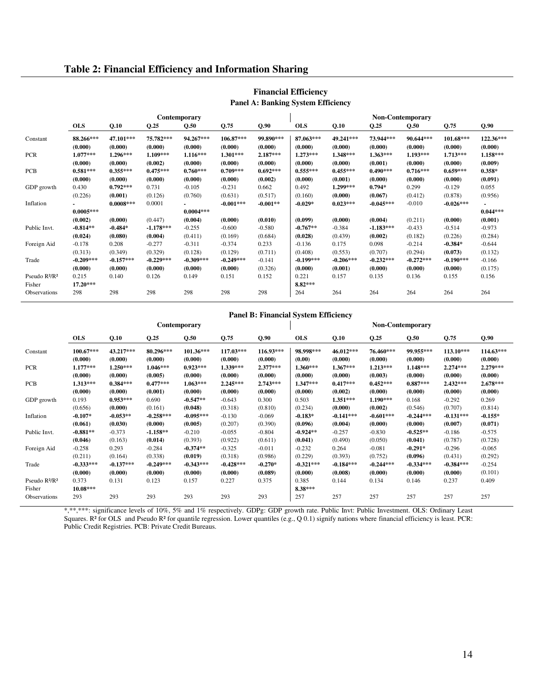#### **Table 2: Financial Efficiency and Information Sharing**

|                                       |             |             |             | Contemporary |             |            |             |             |             | <b>Non-Contemporary</b> |             |            |
|---------------------------------------|-------------|-------------|-------------|--------------|-------------|------------|-------------|-------------|-------------|-------------------------|-------------|------------|
|                                       | <b>OLS</b>  | Q.10        | Q.25        | Q.50         | Q.75        | Q.90       | <b>OLS</b>  | Q.10        | Q.25        | Q.50                    | Q.75        | Q.90       |
| Constant                              | 88.266***   | 47.101***   | 75.782***   | 94.267***    | $106.87***$ | 99.890***  | 87.063***   | 49.241***   | 73.944***   | 90.644***               | $101.68***$ | 122.36***  |
|                                       | (0.000)     | (0.000)     | (0.000)     | (0.000)      | (0.000)     | (0.000)    | (0.000)     | (0.000)     | (0.000)     | (0.000)                 | (0.000)     | (0.000)    |
| <b>PCR</b>                            | $1.077***$  | $1.296***$  | $1.109***$  | $1.116***$   | $1.301***$  | $2.187***$ | $1.273***$  | 1.348***    | $1.363***$  | $1.193***$              | $1.713***$  | $1.158***$ |
|                                       | (0.000)     | (0.000)     | (0.002)     | (0.000)      | (0.000)     | (0.000)    | (0.000)     | (0.000)     | (0.001)     | (0.000)                 | (0.000)     | (0.009)    |
| <b>PCB</b>                            | $0.581***$  | $0.355***$  | $0.475***$  | $0.760***$   | $0.709***$  | $0.692***$ | $0.555***$  | $0.455***$  | $0.490***$  | $0.716***$              | $0.659***$  | $0.358*$   |
|                                       | (0.000)     | (0.000)     | (0.000)     | (0.000)      | (0.000)     | (0.002)    | (0.000)     | (0.001)     | (0.000)     | (0.000)                 | (0.000)     | (0.091)    |
| GDP growth                            | 0.430       | $0.792***$  | 0.731       | $-0.105$     | $-0.231$    | 0.662      | 0.492       | 1.299***    | $0.794*$    | 0.299                   | $-0.129$    | 0.055      |
|                                       | (0.226)     | (0.001)     | (0.126)     | (0.760)      | (0.631)     | (0.517)    | (0.160)     | (0.000)     | (0.067)     | (0.412)                 | (0.878)     | (0.956)    |
| Inflation                             |             | $0.0008***$ | 0.0001      |              | $-0.001***$ | $-0.001**$ | $-0.029*$   | $0.023***$  | $-0.045***$ | $-0.010$                | $-0.026***$ |            |
|                                       | $0.0005***$ |             |             | $0.0004***$  |             |            |             |             |             |                         |             | $0.044***$ |
|                                       | (0.002)     | (0.000)     | (0.447)     | (0.004)      | (0.000)     | (0.010)    | (0.099)     | (0.000)     | (0.004)     | (0.211)                 | (0.000)     | (0.001)    |
| Public Invt.                          | $-0.814**$  | $-0.484*$   | $-1.178***$ | $-0.255$     | $-0.600$    | $-0.580$   | $-0.767**$  | $-0.384$    | $-1.183***$ | $-0.433$                | $-0.514$    | $-0.973$   |
|                                       | (0.024)     | (0.080)     | (0.004)     | (0.411)      | (0.169)     | (0.684)    | (0.028)     | (0.439)     | (0.002)     | (0.182)                 | (0.226)     | (0.284)    |
| Foreign Aid                           | $-0.178$    | 0.208       | $-0.277$    | $-0.311$     | $-0.374$    | 0.233      | $-0.136$    | 0.175       | 0.098       | $-0.214$                | $-0.384*$   | $-0.644$   |
|                                       | (0.313)     | (0.349)     | (0.329)     | (0.128)      | (0.129)     | (0.711)    | (0.408)     | (0.553)     | (0.707)     | (0.294)                 | (0.073)     | (0.132)    |
| Trade                                 | $-0.209***$ | $-0.157***$ | $-0.229***$ | $-0.309***$  | $-0.249***$ | $-0.141$   | $-0.199***$ | $-0.206***$ | $-0.232***$ | $-0.272***$             | $-0.190***$ | $-0.166$   |
|                                       | (0.000)     | (0.000)     | (0.000)     | (0.000)      | (0.000)     | (0.326)    | (0.000)     | (0.001)     | (0.000)     | (0.000)                 | (0.000)     | (0.175)    |
| Pseudo R <sup>2</sup> /R <sup>2</sup> | 0.215       | 0.140       | 0.126       | 0.149        | 0.151       | 0.152      | 0.221       | 0.157       | 0.135       | 0.136                   | 0.155       | 0.156      |
| Fisher                                | $17.20***$  |             |             |              |             |            | $8.82***$   |             |             |                         |             |            |
| Observations                          | 298         | 298         | 298         | 298          | 298         | 298        | 264         | 264         | 264         | 264                     | 264         | 264        |

#### **Financial Efficiency Panel A: Banking System Efficiency**

## **Panel B: Financial System Efficiency**

|                                       |             |             |             | Contemporary |             |            | <b>Non-Contemporary</b> |             |             |             |             |             |  |
|---------------------------------------|-------------|-------------|-------------|--------------|-------------|------------|-------------------------|-------------|-------------|-------------|-------------|-------------|--|
|                                       | <b>OLS</b>  | Q.10        | Q.25        | Q.50         | Q.75        | Q.90       | <b>OLS</b>              | Q.10        | Q.25        | Q.50        | Q.75        | Q.90        |  |
| Constant                              | $100.67***$ | 43.217***   | 80.296***   | $101.36***$  | $117.03***$ | 116.93***  | 98.998***               | 46.012***   | 76.460***   | 99.955***   | $113.10***$ | $114.63***$ |  |
|                                       | (0.000)     | (0.000)     | (0.000)     | (0.000)      | (0.000)     | (0.000)    | (0.00)                  | (0.000)     | (0.000)     | (0.000)     | (0.000)     | (0.000)     |  |
| <b>PCR</b>                            | $1.177***$  | $1.250***$  | $1.046***$  | $0.923***$   | $1.339***$  | $2.377***$ | $1.360***$              | $1.367***$  | $1.213***$  | $1.148***$  | $2.274***$  | $2.279***$  |  |
|                                       | (0.000)     | (0.000)     | (0.005)     | (0.000)      | (0.000)     | (0.000)    | (0.000)                 | (0.000)     | (0.003)     | (0.000)     | (0.000)     | (0.000)     |  |
| <b>PCB</b>                            | $1.313***$  | $0.384***$  | $0.477***$  | $1.063***$   | $2.245***$  | $2.743***$ | $1.347***$              | $0.417***$  | $0.452***$  | $0.887***$  | $2.432***$  | $2.678***$  |  |
|                                       | (0.000)     | (0.000)     | (0.001)     | (0.000)      | (0.000)     | (0.000)    | (0.000)                 | (0.002)     | (0.000)     | (0.000)     | (0.000)     | (0.000)     |  |
| GDP growth                            | 0.193       | $0.953***$  | 0.690       | $-0.547**$   | $-0.643$    | 0.300      | 0.503                   | $1.351***$  | 1.190***    | 0.168       | $-0.292$    | 0.269       |  |
|                                       | (0.656)     | (0.000)     | (0.161)     | (0.048)      | (0.318)     | (0.810)    | (0.234)                 | (0.000)     | (0.002)     | (0.546)     | (0.707)     | (0.814)     |  |
| Inflation                             | $-0.107*$   | $-0.053**$  | $-0.258***$ | $-0.095***$  | $-0.130$    | $-0.069$   | $-0.183*$               | $-0.141***$ | $-0.601***$ | $-0.244***$ | $-0.131***$ | $-0.155*$   |  |
|                                       | (0.061)     | (0.030)     | (0.000)     | (0.005)      | (0.207)     | (0.390)    | (0.096)                 | (0.004)     | (0.000)     | (0.000)     | (0.007)     | (0.071)     |  |
| Public Invt.                          | $-0.881**$  | $-0.373$    | $-1.158**$  | $-0.210$     | $-0.055$    | $-0.804$   | $-0.924**$              | $-0.257$    | $-0.830$    | $-0.525**$  | $-0.186$    | $-0.575$    |  |
|                                       | (0.046)     | (0.163)     | (0.014)     | (0.393)      | (0.922)     | (0.611)    | (0.041)                 | (0.490)     | (0.050)     | (0.041)     | (0.787)     | (0.728)     |  |
| Foreign Aid                           | $-0.258$    | 0.293       | $-0.284$    | $-0.374**$   | $-0.325$    | $-0.011$   | $-0.232$                | 0.264       | $-0.081$    | $-0.291*$   | $-0.296$    | $-0.065$    |  |
|                                       | (0.211)     | (0.164)     | (0.338)     | (0.019)      | (0.318)     | (0.986)    | (0.229)                 | (0.393)     | (0.752)     | (0.096)     | (0.431)     | (0.292)     |  |
| Trade                                 | $-0.333***$ | $-0.137***$ | $-0.249***$ | $-0.343***$  | $-0.428***$ | $-0.270*$  | $-0.321***$             | $-0.184***$ | $-0.244***$ | $-0.334***$ | $-0.384***$ | $-0.254$    |  |
|                                       | (0.000)     | (0.000)     | (0.000)     | (0.000)      | (0.000)     | (0.089)    | (0.000)                 | (0.008)     | (0.000)     | (0.000)     | (0.000)     | (0.101)     |  |
| Pseudo R <sup>2</sup> /R <sup>2</sup> | 0.373       | 0.131       | 0.123       | 0.157        | 0.227       | 0.375      | 0.385                   | 0.144       | 0.134       | 0.146       | 0.237       | 0.409       |  |
| Fisher                                | 10.08***    |             |             |              |             |            | $8.38***$               |             |             |             |             |             |  |
| Observations                          | 293         | 293         | 293         | 293          | 293         | 293        | 257                     | 257         | 257         | 257         | 257         | 257         |  |

\*,\*\*,\*\*\*: significance levels of 10%, 5% and 1% respectively. GDPg: GDP growth rate. Public Invt: Public Investment. OLS: Ordinary Least Squares. R<sup>2</sup> for OLS and Pseudo R<sup>2</sup> for quantile regression. Lower quantiles (e.g., Q 0.1) signify nations where financial efficiency is least. PCR: Public Credit Registries. PCB: Private Credit Bureaus.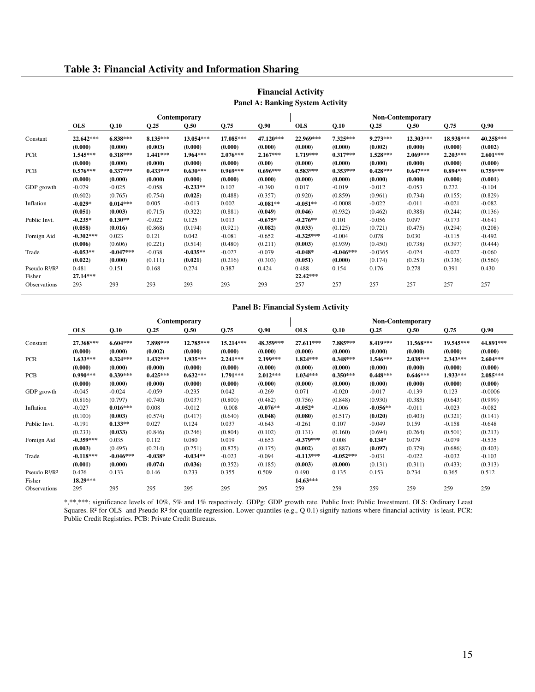#### **Table 3: Financial Activity and Information Sharing**

|                                       |                       |                       |                       | Contemporary           |                       |                      | <b>Non-Contemporary</b> |                       |                       |                       |                       |                       |  |
|---------------------------------------|-----------------------|-----------------------|-----------------------|------------------------|-----------------------|----------------------|-------------------------|-----------------------|-----------------------|-----------------------|-----------------------|-----------------------|--|
|                                       | <b>OLS</b>            | Q.10                  | Q.25                  | Q.50                   | Q.75                  | Q.90                 | <b>OLS</b>              | Q.10                  | Q.25                  | Q.50                  | Q.75                  | Q.90                  |  |
| Constant                              | 22.642***<br>(0.000)  | $6.838***$<br>(0.000) | $8.135***$<br>(0.003) | $13.054***$<br>(0.000) | 17.085***<br>(0.000)  | 47.120***<br>(0.000) | 22.969***<br>(0.000)    | $7.325***$<br>(0.000) | $9.273***$<br>(0.002) | 12.303***<br>(0.000)  | 18.938***<br>(0.000)  | 40.258***<br>(0.002)  |  |
| <b>PCR</b>                            | $1.545***$<br>(0.000) | $0.318***$<br>(0.000) | $1.441***$<br>(0.000) | 1.964***<br>(0.000)    | $2.076***$<br>(0.000) | $2.167***$<br>(0.00) | $1.719***$<br>(0.000)   | $0.317***$<br>(0.000) | 1.528***<br>(0.000)   | $2.069***$<br>(0.000) | $2.203***$<br>(0.000) | $2.601***$<br>(0.000) |  |
| <b>PCB</b>                            | $0.576***$            | $0.337***$            | $0.433***$            | $0.630***$             | $0.969***$            | $0.696***$           | $0.583***$              | $0.353***$            | $0.428***$            | $0.647***$            | $0.894***$            | $0.759***$            |  |
|                                       | (0.000)               | (0.000)               | (0.000)               | (0.000)                | (0.000)               | (0.000)              | (0.000)                 | (0.000)               | (0.000)               | (0.000)               | (0.000)               | (0.001)               |  |
| GDP growth                            | $-0.079$              | $-0.025$              | $-0.058$              | $-0.233**$             | 0.107                 | $-0.390$             | 0.017                   | $-0.019$              | $-0.012$              | $-0.053$              | 0.272                 | $-0.104$              |  |
|                                       | (0.602)               | (0.765)               | (0.754)               | (0.025)                | (0.488)               | (0.357)              | (0.920)                 | (0.859)               | (0.961)               | (0.734)               | (0.155)               | (0.829)               |  |
| Inflation                             | $-0.029*$             | $0.014***$            | 0.005                 | $-0.013$               | 0.002                 | $-0.081**$           | $-0.051**$              | $-0.0008$             | $-0.022$              | $-0.011$              | $-0.021$              | $-0.082$              |  |
|                                       | (0.051)               | (0.003)               | (0.715)               | (0.322)                | (0.881)               | (0.049)              | (0.046)                 | (0.932)               | (0.462)               | (0.388)               | (0.244)               | (0.136)               |  |
| Public Invt.                          | $-0.235*$             | $0.130**$             | $-0.022$              | 0.125                  | 0.013                 | $-0.675*$            | $-0.276**$              | 0.101                 | $-0.056$              | 0.097                 | $-0.173$              | $-0.641$              |  |
|                                       | (0.058)               | (0.016)               | (0.868)               | (0.194)                | (0.921)               | (0.082)              | (0.033)                 | (0.125)               | (0.721)               | (0.475)               | (0.294)               | (0.208)               |  |
| Foreign Aid                           | $-0.302***$           | 0.023                 | 0.121                 | 0.042                  | $-0.081$              | $-0.652$             | $-0.325***$             | $-0.004$              | 0.078                 | 0.030                 | $-0.115$              | $-0.492$              |  |
|                                       | (0.006)               | (0.606)               | (0.221)               | (0.514)                | (0.480)               | (0.211)              | (0.003)                 | (0.939)               | (0.450)               | (0.738)               | (0.397)               | (0.444)               |  |
| Trade                                 | $-0.053**$            | $-0.047***$           | $-0.038$              | $-0.035**$             | $-0.027$              | $-0.079$             | $-0.048*$               | $-0.046***$           | $-0.0365$             | $-0.024$              | $-0.027$              | $-0.060$              |  |
|                                       | (0.022)               | (0.000)               | (0.111)               | (0.021)                | (0.216)               | (0.303)              | (0.051)                 | (0.000)               | (0.174)               | (0.253)               | (0.336)               | (0.560)               |  |
| Pseudo R <sup>2</sup> /R <sup>2</sup> | 0.481                 | 0.151                 | 0.168                 | 0.274                  | 0.387                 | 0.424                | 0.488                   | 0.154                 | 0.176                 | 0.278                 | 0.391                 | 0.430                 |  |
| Fisher                                | 27.14***              |                       |                       |                        |                       |                      | 22.42***                |                       |                       |                       |                       |                       |  |
| Observations                          | 293                   | 293                   | 293                   | 293                    | 293                   | 293                  | 257                     | 257                   | 257                   | 257                   | 257                   | 257                   |  |

#### **Financial Activity Panel A: Banking System Activity**

#### **Panel B: Financial System Activity**

|                                       |             |             |            | Contemporary |             |            |             |             |            | <b>Non-Contemporary</b> |           |            |
|---------------------------------------|-------------|-------------|------------|--------------|-------------|------------|-------------|-------------|------------|-------------------------|-----------|------------|
|                                       | <b>OLS</b>  | Q.10        | Q.25       | Q.50         | Q.75        | Q.90       | <b>OLS</b>  | Q.10        | Q.25       | Q.50                    | Q.75      | Q.90       |
| Constant                              | 27.368***   | $6.604***$  | 7.898***   | 12.785***    | $15.214***$ | 48.359***  | 27.611***   | 7.885***    | 8.419***   | 11.568***               | 19.545*** | 44.891***  |
|                                       | (0.000)     | (0.000)     | (0.002)    | (0.000)      | (0.000)     | (0.000)    | (0.000)     | (0.000)     | (0.000)    | (0.000)                 | (0.000)   | (0.000)    |
| <b>PCR</b>                            | $1.633***$  | $0.324***$  | $1.432***$ | 1.935***     | $2.241***$  | $2.199***$ | $1.824***$  | $0.348***$  | 1.546***   | $2.038***$              | 2.343***  | $2.604***$ |
|                                       | (0.000)     | (0.000)     | (0.000)    | (0.000)      | (0.000)     | (0.000)    | (0.000)     | (0.000)     | (0.000)    | (0.000)                 | (0.000)   | (0.000)    |
| PCB                                   | $0.990***$  | $0.339***$  | $0.425***$ | $0.632***$   | $1.791***$  | $2.012***$ | $1.034***$  | $0.350***$  | $0.448***$ | $0.646***$              | 1.933***  | $2.085***$ |
|                                       | (0.000)     | (0.000)     | (0.000)    | (0.000)      | (0.000)     | (0.000)    | (0.000)     | (0.000)     | (0.000)    | (0.000)                 | (0.000)   | (0.000)    |
| GDP growth                            | $-0.045$    | $-0.024$    | $-0.059$   | $-0.235$     | 0.042       | $-0.269$   | 0.071       | $-0.020$    | $-0.017$   | $-0.139$                | 0.123     | $-0.0006$  |
|                                       | (0.816)     | (0.797)     | (0.740)    | (0.037)      | (0.800)     | (0.482)    | (0.756)     | (0.848)     | (0.930)    | (0.385)                 | (0.643)   | (0.999)    |
| Inflation                             | $-0.027$    | $0.016***$  | 0.008      | $-0.012$     | 0.008       | $-0.076**$ | $-0.052*$   | $-0.006$    | $-0.056**$ | $-0.011$                | $-0.023$  | $-0.082$   |
|                                       | (0.100)     | (0.003)     | (0.574)    | (0.417)      | (0.640)     | (0.048)    | (0.080)     | (0.517)     | (0.020)    | (0.403)                 | (0.321)   | (0.141)    |
| Public Invt.                          | $-0.191$    | $0.133**$   | 0.027      | 0.124        | 0.037       | $-0.643$   | $-0.261$    | 0.107       | $-0.049$   | 0.159                   | $-0.158$  | $-0.648$   |
|                                       | (0.233)     | (0.033)     | (0.846)    | (0.246)      | (0.804)     | (0.102)    | (0.131)     | (0.160)     | (0.694)    | (0.264)                 | (0.501)   | (0.213)    |
| Foreign Aid                           | $-0.359***$ | 0.035       | 0.112      | 0.080        | 0.019       | $-0.653$   | $-0.379***$ | 0.008       | $0.134*$   | 0.079                   | $-0.079$  | $-0.535$   |
|                                       | (0.003)     | (0.495)     | (0.214)    | (0.251)      | (0.875)     | (0.175)    | (0.002)     | (0.887)     | (0.097)    | (0.379)                 | (0.686)   | (0.403)    |
| Trade                                 | $-0.118***$ | $-0.046***$ | $-0.038*$  | $-0.034**$   | $-0.023$    | $-0.094$   | $-0.113***$ | $-0.052***$ | $-0.031$   | $-0.022$                | $-0.032$  | $-0.103$   |
|                                       | (0.001)     | (0.000)     | (0.074)    | (0.036)      | (0.352)     | (0.185)    | (0.003)     | (0.000)     | (0.131)    | (0.311)                 | (0.433)   | (0.313)    |
| Pseudo R <sup>2</sup> /R <sup>2</sup> | 0.476       | 0.133       | 0.146      | 0.233        | 0.355       | 0.509      | 0.490       | 0.135       | 0.153      | 0.234                   | 0.365     | 0.512      |
| Fisher                                | 18.29***    |             |            |              |             |            | $14.63***$  |             |            |                         |           |            |
| Observations                          | 295         | 295         | 295        | 295          | 295         | 295        | 259         | 259         | 259        | 259                     | 259       | 259        |

\*,\*\*,\*\*\*: significance levels of 10%, 5% and 1% respectively. GDPg: GDP growth rate. Public Invt: Public Investment. OLS: Ordinary Least Squares. R<sup>2</sup> for OLS and Pseudo R<sup>2</sup> for quantile regression. Lower quantiles (e.g., Q 0.1) signify nations where financial activity is least. PCR: Public Credit Registries. PCB: Private Credit Bureaus.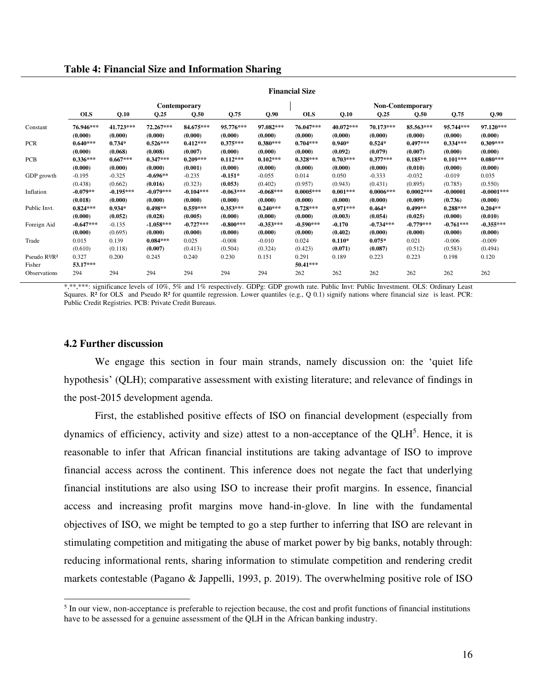|  |  | <b>Table 4: Financial Size and Information Sharing</b> |  |
|--|--|--------------------------------------------------------|--|
|  |  |                                                        |  |

|                                       | <b>Financial Size</b> |             |             |              |             |             |             |             |             |                  |             |              |  |
|---------------------------------------|-----------------------|-------------|-------------|--------------|-------------|-------------|-------------|-------------|-------------|------------------|-------------|--------------|--|
|                                       |                       |             |             | Contemporary |             |             |             |             |             | Non-Contemporary |             |              |  |
|                                       | <b>OLS</b>            | Q.10        | Q.25        | Q.50         | Q.75        | Q.90        | <b>OLS</b>  | Q.10        | Q.25        | Q.50             | Q.75        | Q.90         |  |
| Constant                              | 76.946***             | $41.723***$ | 72.267***   | 84.675***    | 95.776***   | 97.082***   | 76.047***   | $40.072***$ | 70.173***   | 85.563***        | 95.744***   | 97.120***    |  |
|                                       | (0.000)               | (0.000)     | (0.000)     | (0.000)      | (0.000)     | (0.000)     | (0.000)     | (0.000)     | (0.000)     | (0.000)          | (0.000)     | (0.000)      |  |
| <b>PCR</b>                            | $0.640***$            | $0.734*$    | $0.526***$  | $0.412***$   | $0.375***$  | $0.380***$  | $0.704***$  | $0.940*$    | $0.524*$    | $0.497***$       | $0.334***$  | $0.309***$   |  |
|                                       | (0.000)               | (0.068)     | (0.008)     | (0.007)      | (0.000)     | (0.000)     | (0.000)     | (0.092)     | (0.079)     | (0.007)          | (0.000)     | (0.000)      |  |
| <b>PCB</b>                            | $0.336***$            | $0.667***$  | $0.347***$  | $0.209***$   | $0.112***$  | $0.102***$  | $0.328***$  | $0.703***$  | $0.377***$  | $0.185**$        | $0.101***$  | $0.080***$   |  |
|                                       | (0.000)               | (0.000)     | (0.000)     | (0.001)      | (0.000)     | (0.000)     | (0.000)     | (0.000)     | (0.000)     | (0.010)          | (0.000)     | (0.000)      |  |
| GDP growth                            | $-0.195$              | $-0.325$    | $-0.696**$  | $-0.235$     | $-0.151*$   | $-0.055$    | 0.014       | 0.050       | $-0.333$    | $-0.032$         | $-0.019$    | 0.035        |  |
|                                       | (0.438)               | (0.662)     | (0.016)     | (0.323)      | (0.053)     | (0.402)     | (0.957)     | (0.943)     | (0.431)     | (0.895)          | (0.785)     | (0.550)      |  |
| Inflation                             | $-0.079**$            | $-0.195***$ | $-0.079***$ | $-0.104***$  | $-0.063***$ | $-0.068***$ | $0.0005***$ | $0.001***$  | $0.0006***$ | $0.0002***$      | $-0.00001$  | $-0.0001***$ |  |
|                                       | (0.018)               | (0.000)     | (0.000)     | (0.000)      | (0.000)     | (0.000)     | (0.000)     | (0.000)     | (0.000)     | (0.009)          | (0.736)     | (0.000)      |  |
| Public Invt.                          | $0.824***$            | $0.934*$    | $0.498**$   | $0.559***$   | $0.353***$  | $0.240***$  | $0.728***$  | $0.971***$  | $0.464*$    | $0.499**$        | $0.288***$  | $0.204**$    |  |
|                                       | (0.000)               | (0.052)     | (0.028)     | (0.005)      | (0.000)     | (0.000)     | (0.000)     | (0.003)     | (0.054)     | (0.025)          | (0.000)     | (0.010)      |  |
| Foreign Aid                           | $-0.647***$           | $-0.135$    | $-1.058***$ | $-0.727***$  | $-0.800***$ | $-0.353***$ | $-0.590***$ | $-0.170$    | $-0.734***$ | $-0.779***$      | $-0.761***$ | $-0.355***$  |  |
|                                       | (0.000)               | (0.695)     | (0.000)     | (0.000)      | (0.000)     | (0.000)     | (0.000)     | (0.402)     | (0.000)     | (0.000)          | (0.000)     | (0.000)      |  |
| Trade                                 | 0.015                 | 0.139       | $0.084***$  | 0.025        | $-0.008$    | $-0.010$    | 0.024       | $0.110*$    | $0.075*$    | 0.021            | $-0.006$    | $-0.009$     |  |
|                                       | (0.610)               | (0.118)     | (0.007)     | (0.413)      | (0.504)     | (0.324)     | (0.423)     | (0.071)     | (0.087)     | (0.512)          | (0.583)     | (0.494)      |  |
| Pseudo R <sup>2</sup> /R <sup>2</sup> | 0.327                 | 0.200       | 0.245       | 0.240        | 0.230       | 0.151       | 0.291       | 0.189       | 0.223       | 0.223            | 0.198       | 0.120        |  |
| Fisher                                | $53.17***$            |             |             |              |             |             | $50.41***$  |             |             |                  |             |              |  |
| <b>Observations</b>                   | 294                   | 294         | 294         | 294          | 294         | 294         | 262         | 262         | 262         | 262              | 262         | 262          |  |

\*,\*\*\*\*: significance levels of 10%, 5% and 1% respectively. GDPg: GDP growth rate. Public Invt: Public Investment. OLS: Ordinary Least Squares. R<sup>2</sup> for OLS and Pseudo R<sup>2</sup> for quantile regression. Lower quantiles (e.g., Q 0.1) signify nations where financial size is least. PCR: Public Credit Registries. PCB: Private Credit Bureaus.

#### **4.2 Further discussion**

 $\overline{a}$ 

 We engage this section in four main strands, namely discussion on: the 'quiet life hypothesis' (QLH); comparative assessment with existing literature; and relevance of findings in the post-2015 development agenda.

 First, the established positive effects of ISO on financial development (especially from dynamics of efficiency, activity and size) attest to a non-acceptance of the QLH<sup>5</sup>. Hence, it is reasonable to infer that African financial institutions are taking advantage of ISO to improve financial access across the continent. This inference does not negate the fact that underlying financial institutions are also using ISO to increase their profit margins. In essence, financial access and increasing profit margins move hand-in-glove. In line with the fundamental objectives of ISO, we might be tempted to go a step further to inferring that ISO are relevant in stimulating competition and mitigating the abuse of market power by big banks, notably through: reducing informational rents, sharing information to stimulate competition and rendering credit markets contestable (Pagano & Jappelli, 1993, p. 2019). The overwhelming positive role of ISO

<sup>&</sup>lt;sup>5</sup> In our view, non-acceptance is preferable to rejection because, the cost and profit functions of financial institutions have to be assessed for a genuine assessment of the QLH in the African banking industry.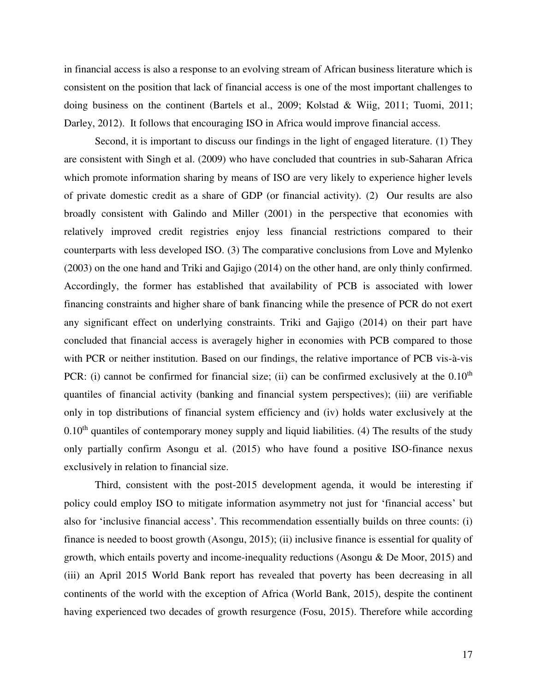in financial access is also a response to an evolving stream of African business literature which is consistent on the position that lack of financial access is one of the most important challenges to doing business on the continent (Bartels et al., 2009; Kolstad & Wiig, 2011; Tuomi, 2011; Darley, 2012). It follows that encouraging ISO in Africa would improve financial access.

Second, it is important to discuss our findings in the light of engaged literature. (1) They are consistent with Singh et al. (2009) who have concluded that countries in sub-Saharan Africa which promote information sharing by means of ISO are very likely to experience higher levels of private domestic credit as a share of GDP (or financial activity). (2) Our results are also broadly consistent with Galindo and Miller (2001) in the perspective that economies with relatively improved credit registries enjoy less financial restrictions compared to their counterparts with less developed ISO. (3) The comparative conclusions from Love and Mylenko (2003) on the one hand and Triki and Gajigo (2014) on the other hand, are only thinly confirmed. Accordingly, the former has established that availability of PCB is associated with lower financing constraints and higher share of bank financing while the presence of PCR do not exert any significant effect on underlying constraints. Triki and Gajigo (2014) on their part have concluded that financial access is averagely higher in economies with PCB compared to those with PCR or neither institution. Based on our findings, the relative importance of PCB vis-à-vis PCR: (i) cannot be confirmed for financial size; (ii) can be confirmed exclusively at the  $0.10<sup>th</sup>$ quantiles of financial activity (banking and financial system perspectives); (iii) are verifiable only in top distributions of financial system efficiency and (iv) holds water exclusively at the  $0.10<sup>th</sup>$  quantiles of contemporary money supply and liquid liabilities. (4) The results of the study only partially confirm Asongu et al. (2015) who have found a positive ISO-finance nexus exclusively in relation to financial size.

 Third, consistent with the post-2015 development agenda, it would be interesting if policy could employ ISO to mitigate information asymmetry not just for 'financial access' but also for 'inclusive financial access'. This recommendation essentially builds on three counts: (i) finance is needed to boost growth (Asongu, 2015); (ii) inclusive finance is essential for quality of growth, which entails poverty and income-inequality reductions (Asongu & De Moor, 2015) and (iii) an April 2015 World Bank report has revealed that poverty has been decreasing in all continents of the world with the exception of Africa (World Bank, 2015), despite the continent having experienced two decades of growth resurgence (Fosu, 2015). Therefore while according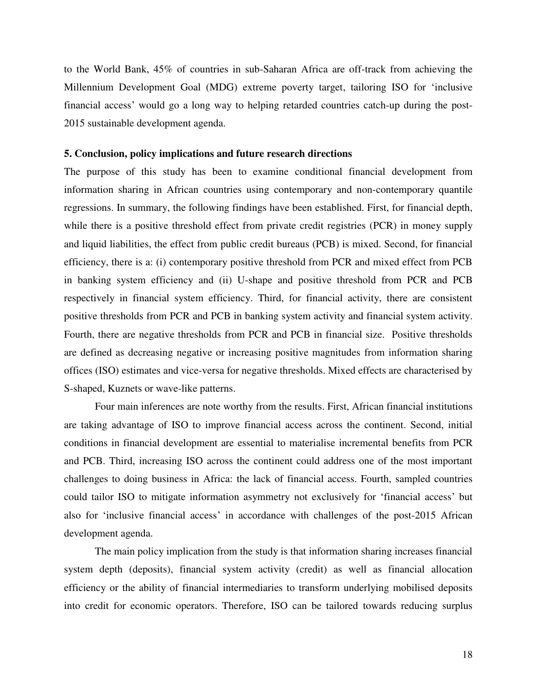to the World Bank, 45% of countries in sub-Saharan Africa are off-track from achieving the Millennium Development Goal (MDG) extreme poverty target, tailoring ISO for 'inclusive financial access' would go a long way to helping retarded countries catch-up during the post-2015 sustainable development agenda.

#### **5. Conclusion, policy implications and future research directions**

The purpose of this study has been to examine conditional financial development from information sharing in African countries using contemporary and non-contemporary quantile regressions. In summary, the following findings have been established. First, for financial depth, while there is a positive threshold effect from private credit registries (PCR) in money supply and liquid liabilities, the effect from public credit bureaus (PCB) is mixed. Second, for financial efficiency, there is a: (i) contemporary positive threshold from PCR and mixed effect from PCB in banking system efficiency and (ii) U-shape and positive threshold from PCR and PCB respectively in financial system efficiency. Third, for financial activity, there are consistent positive thresholds from PCR and PCB in banking system activity and financial system activity. Fourth, there are negative thresholds from PCR and PCB in financial size. Positive thresholds are defined as decreasing negative or increasing positive magnitudes from information sharing offices (ISO) estimates and vice-versa for negative thresholds. Mixed effects are characterised by S-shaped, Kuznets or wave-like patterns.

 Four main inferences are note worthy from the results. First, African financial institutions are taking advantage of ISO to improve financial access across the continent. Second, initial conditions in financial development are essential to materialise incremental benefits from PCR and PCB. Third, increasing ISO across the continent could address one of the most important challenges to doing business in Africa: the lack of financial access. Fourth, sampled countries could tailor ISO to mitigate information asymmetry not exclusively for 'financial access' but also for 'inclusive financial access' in accordance with challenges of the post-2015 African development agenda.

 The main policy implication from the study is that information sharing increases financial system depth (deposits), financial system activity (credit) as well as financial allocation efficiency or the ability of financial intermediaries to transform underlying mobilised deposits into credit for economic operators. Therefore, ISO can be tailored towards reducing surplus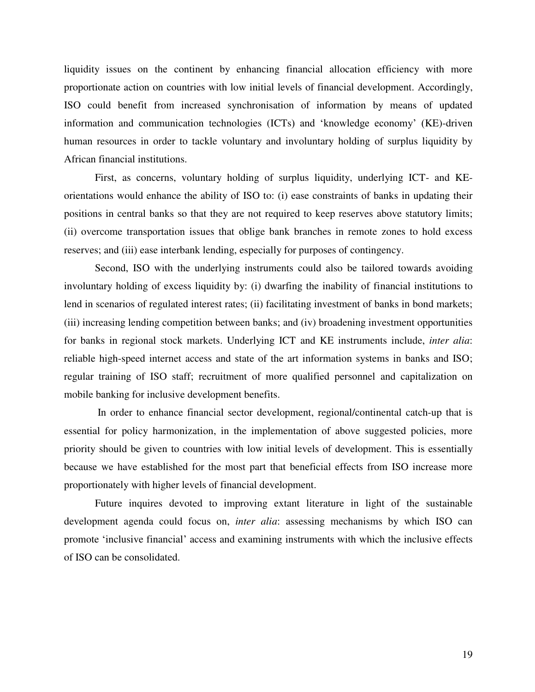liquidity issues on the continent by enhancing financial allocation efficiency with more proportionate action on countries with low initial levels of financial development. Accordingly, ISO could benefit from increased synchronisation of information by means of updated information and communication technologies (ICTs) and 'knowledge economy' (KE)-driven human resources in order to tackle voluntary and involuntary holding of surplus liquidity by African financial institutions.

First, as concerns, voluntary holding of surplus liquidity, underlying ICT- and KEorientations would enhance the ability of ISO to: (i) ease constraints of banks in updating their positions in central banks so that they are not required to keep reserves above statutory limits; (ii) overcome transportation issues that oblige bank branches in remote zones to hold excess reserves; and (iii) ease interbank lending, especially for purposes of contingency.

Second, ISO with the underlying instruments could also be tailored towards avoiding involuntary holding of excess liquidity by: (i) dwarfing the inability of financial institutions to lend in scenarios of regulated interest rates; (ii) facilitating investment of banks in bond markets; (iii) increasing lending competition between banks; and (iv) broadening investment opportunities for banks in regional stock markets. Underlying ICT and KE instruments include, *inter alia*: reliable high-speed internet access and state of the art information systems in banks and ISO; regular training of ISO staff; recruitment of more qualified personnel and capitalization on mobile banking for inclusive development benefits.

 In order to enhance financial sector development, regional/continental catch-up that is essential for policy harmonization, in the implementation of above suggested policies, more priority should be given to countries with low initial levels of development. This is essentially because we have established for the most part that beneficial effects from ISO increase more proportionately with higher levels of financial development.

Future inquires devoted to improving extant literature in light of the sustainable development agenda could focus on, *inter alia*: assessing mechanisms by which ISO can promote 'inclusive financial' access and examining instruments with which the inclusive effects of ISO can be consolidated.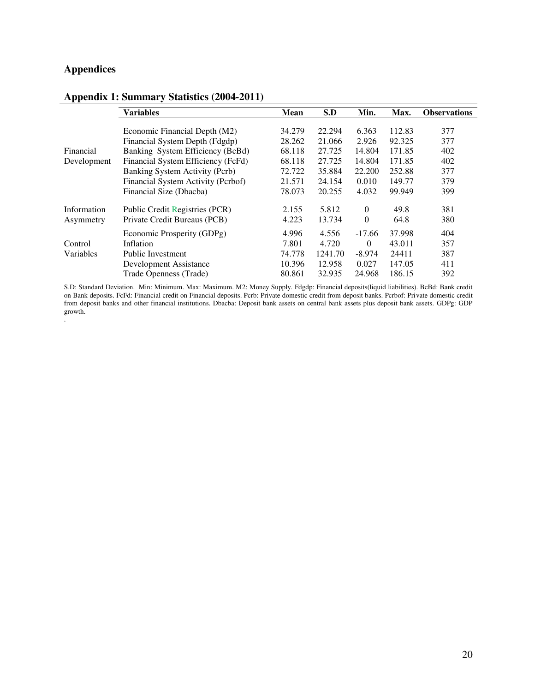## **Appendices**

|             | Variables                          | <b>Mean</b> | S.D     | Min.     | Max.   | <b>Observations</b> |
|-------------|------------------------------------|-------------|---------|----------|--------|---------------------|
|             |                                    | 34.279      | 22.294  |          |        |                     |
|             | Economic Financial Depth (M2)      |             |         | 6.363    | 112.83 | 377                 |
|             | Financial System Depth (Fdgdp)     | 28.262      | 21.066  | 2.926    | 92.325 | 377                 |
| Financial   | Banking System Efficiency (BcBd)   | 68.118      | 27.725  | 14.804   | 171.85 | 402                 |
| Development | Financial System Efficiency (FcFd) | 68.118      | 27.725  | 14.804   | 171.85 | 402                 |
|             | Banking System Activity (Pcrb)     | 72.722      | 35.884  | 22.200   | 252.88 | 377                 |
|             | Financial System Activity (Pcrbof) | 21.571      | 24.154  | 0.010    | 149.77 | 379                 |
|             | Financial Size (Dbacba)            | 78.073      | 20.255  | 4.032    | 99.949 | 399                 |
| Information | Public Credit Registries (PCR)     | 2.155       | 5.812   | $\Omega$ | 49.8   | 381                 |
| Asymmetry   | Private Credit Bureaus (PCB)       | 4.223       | 13.734  | $\theta$ | 64.8   | 380                 |
|             | Economic Prosperity (GDPg)         | 4.996       | 4.556   | $-17.66$ | 37.998 | 404                 |
| Control     | Inflation                          | 7.801       | 4.720   | $\Omega$ | 43.011 | 357                 |
| Variables   | <b>Public Investment</b>           | 74.778      | 1241.70 | $-8.974$ | 24411  | 387                 |
|             | Development Assistance             | 10.396      | 12.958  | 0.027    | 147.05 | 411                 |
|             | Trade Openness (Trade)             | 80.861      | 32.935  | 24.968   | 186.15 | 392                 |

#### **Appendix 1: Summary Statistics (2004-2011)**

S.D: Standard Deviation. Min: Minimum. Max: Maximum. M2: Money Supply. Fdgdp: Financial deposits(liquid liabilities). BcBd: Bank credit on Bank deposits. FcFd: Financial credit on Financial deposits. Pcrb: Private domestic credit from deposit banks. Pcrbof: Private domestic credit from deposit banks and other financial institutions. Dbacba: Deposit bank assets on central bank assets plus deposit bank assets. GDPg: GDP growth. .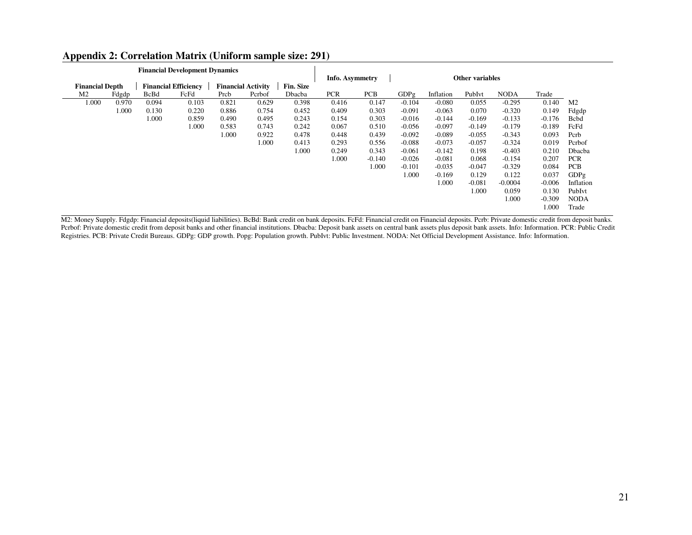|                        |       |             | <b>Financial Development Dynamics</b> |       |                           |                  |                 |            |          |           |                        |             |          |                |
|------------------------|-------|-------------|---------------------------------------|-------|---------------------------|------------------|-----------------|------------|----------|-----------|------------------------|-------------|----------|----------------|
|                        |       |             |                                       |       |                           |                  | Info. Asymmetry |            |          |           | <b>Other variables</b> |             |          |                |
| <b>Financial Depth</b> |       |             | <b>Financial Efficiency</b>           |       | <b>Financial Activity</b> | <b>Fin. Size</b> |                 |            |          |           |                        |             |          |                |
| M <sub>2</sub>         | Fdgdp | <b>BcBd</b> | FcFd                                  | Prcb  | Pcrbof                    | Dbacba           | <b>PCR</b>      | <b>PCB</b> | GDPg     | Inflation | PubIvt                 | <b>NODA</b> | Trade    |                |
| 1.000                  | 0.970 | 0.094       | 0.103                                 | 0.821 | 0.629                     | 0.398            | 0.416           | 0.147      | $-0.104$ | $-0.080$  | 0.055                  | $-0.295$    | 0.140    | M <sub>2</sub> |
|                        | 1.000 | 0.130       | 0.220                                 | 0.886 | 0.754                     | 0.452            | 0.409           | 0.303      | $-0.091$ | $-0.063$  | 0.070                  | $-0.320$    | 0.149    | Fdgdp          |
|                        |       | 1.000       | 0.859                                 | 0.490 | 0.495                     | 0.243            | 0.154           | 0.303      | $-0.016$ | $-0.144$  | $-0.169$               | $-0.133$    | $-0.176$ | <b>B</b> cbd   |
|                        |       |             | 1.000                                 | 0.583 | 0.743                     | 0.242            | 0.067           | 0.510      | $-0.056$ | $-0.097$  | $-0.149$               | $-0.179$    | $-0.189$ | FcFd           |
|                        |       |             |                                       | 1.000 | 0.922                     | 0.478            | 0.448           | 0.439      | $-0.092$ | $-0.089$  | $-0.055$               | $-0.343$    | 0.093    | Pcrb           |
|                        |       |             |                                       |       | 1.000                     | 0.413            | 0.293           | 0.556      | $-0.088$ | $-0.073$  | $-0.057$               | $-0.324$    | 0.019    | Pcrbof         |
|                        |       |             |                                       |       |                           | 1.000            | 0.249           | 0.343      | $-0.061$ | $-0.142$  | 0.198                  | $-0.403$    | 0.210    | Dbacba         |
|                        |       |             |                                       |       |                           |                  | 1.000           | $-0.140$   | $-0.026$ | $-0.081$  | 0.068                  | $-0.154$    | 0.207    | <b>PCR</b>     |
|                        |       |             |                                       |       |                           |                  |                 | 1.000      | $-0.101$ | $-0.035$  | $-0.047$               | $-0.329$    | 0.084    | <b>PCB</b>     |
|                        |       |             |                                       |       |                           |                  |                 |            | 1.000    | $-0.169$  | 0.129                  | 0.122       | 0.037    | GDPg           |
|                        |       |             |                                       |       |                           |                  |                 |            |          | 1.000     | $-0.081$               | $-0.0004$   | $-0.006$ | Inflation      |
|                        |       |             |                                       |       |                           |                  |                 |            |          |           | 1.000                  | 0.059       | 0.130    | PubIvt         |
|                        |       |             |                                       |       |                           |                  |                 |            |          |           |                        | 1.000       | $-0.309$ | <b>NODA</b>    |
|                        |       |             |                                       |       |                           |                  |                 |            |          |           |                        |             | 1.000    | Trade          |
|                        |       |             |                                       |       |                           |                  |                 |            |          |           |                        |             |          |                |

#### **Appendix 2: Correlation Matrix (Uniform sample size: 291)**

M2: Money Supply. Fdgdp: Financial deposits(liquid liabilities). BcBd: Bank credit on bank deposits. FcFd: Financial credit on Financial deposits. Pcrb: Private domestic credit from deposit banks. Pcrbof: Private domestic credit from deposit banks and other financial institutions. Dbacba: Deposit bank assets on central bank assets plus deposit bank assets. Info: Information. PCR: Public Credit Registries. PCB: Private Credit Bureaus. GDPg: GDP growth. Popg: Population growth. PubIvt: Public Investment. NODA: Net Official Development Assistance. Info: Information.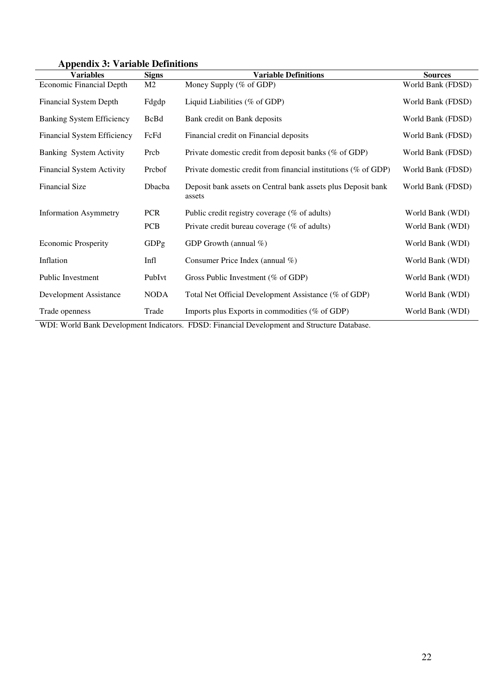| <b>Variables</b>                   | <b>Signs</b>   | <b>Variable Definitions</b>                                            | <b>Sources</b>    |
|------------------------------------|----------------|------------------------------------------------------------------------|-------------------|
| <b>Economic Financial Depth</b>    | M <sub>2</sub> | Money Supply (% of GDP)                                                | World Bank (FDSD) |
| <b>Financial System Depth</b>      | Fdgdp          | Liquid Liabilities (% of GDP)                                          | World Bank (FDSD) |
| <b>Banking System Efficiency</b>   | <b>BcBd</b>    | Bank credit on Bank deposits                                           | World Bank (FDSD) |
| <b>Financial System Efficiency</b> | FcFd           | Financial credit on Financial deposits                                 | World Bank (FDSD) |
| Banking System Activity            | Prcb           | Private domestic credit from deposit banks (% of GDP)                  | World Bank (FDSD) |
| <b>Financial System Activity</b>   | Prcbof         | Private domestic credit from financial institutions (% of GDP)         | World Bank (FDSD) |
| <b>Financial Size</b>              | Dbacba         | Deposit bank assets on Central bank assets plus Deposit bank<br>assets | World Bank (FDSD) |
| <b>Information Asymmetry</b>       | <b>PCR</b>     | Public credit registry coverage (% of adults)                          | World Bank (WDI)  |
|                                    | <b>PCB</b>     | Private credit bureau coverage (% of adults)                           | World Bank (WDI)  |
| <b>Economic Prosperity</b>         | GDPg           | GDP Growth (annual %)                                                  | World Bank (WDI)  |
| Inflation                          | Infl           | Consumer Price Index (annual %)                                        | World Bank (WDI)  |
| <b>Public Investment</b>           | PubIvt         | Gross Public Investment (% of GDP)                                     | World Bank (WDI)  |
| Development Assistance             | <b>NODA</b>    | Total Net Official Development Assistance (% of GDP)                   | World Bank (WDI)  |
| Trade openness                     | Trade          | Imports plus Exports in commodities (% of GDP)                         | World Bank (WDI)  |

## **Appendix 3: Variable Definitions**

WDI: World Bank Development Indicators. FDSD: Financial Development and Structure Database.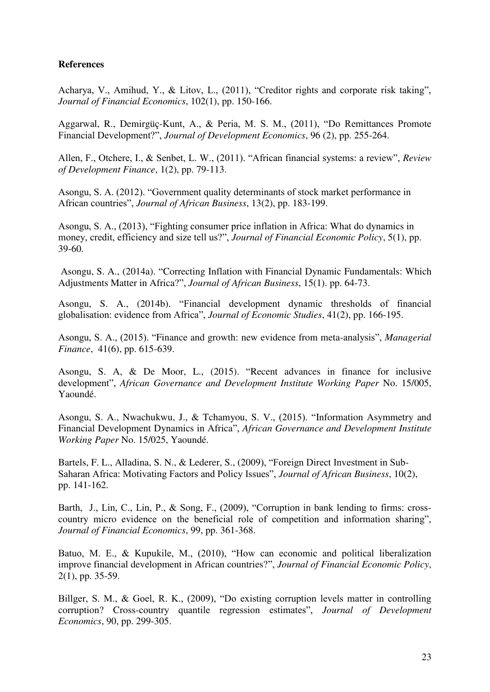### **References**

Acharya, V., Amihud, Y., & Litov, L., (2011), "Creditor rights and corporate risk taking", *Journal of Financial Economics*, 102(1), pp. 150-166.

Aggarwal, R., Demirgüç-Kunt, A., & Peria, M. S. M., (2011), "Do Remittances Promote Financial Development?", *Journal of Development Economics*, 96 (2), pp. 255-264.

Allen, F., Otchere, I., & Senbet, L. W., (2011). "African financial systems: a review", *Review of Development Finance*, 1(2), pp. 79-113.

Asongu, S. A. (2012). "Government quality determinants of stock market performance in African countries", *Journal of African Business*, 13(2), pp. 183-199.

Asongu, S. A., (2013), "Fighting consumer price inflation in Africa: What do dynamics in money, credit, efficiency and size tell us?", *Journal of Financial Economic Policy*, 5(1), pp. 39-60.

 Asongu, S. A., (2014a). "Correcting Inflation with Financial Dynamic Fundamentals: Which Adjustments Matter in Africa?", *Journal of African Business*, 15(1). pp. 64-73.

Asongu, S. A., (2014b). "Financial development dynamic thresholds of financial globalisation: evidence from Africa", *Journal of Economic Studies*, 41(2), pp. 166-195.

Asongu, S. A., (2015). "Finance and growth: new evidence from meta-analysis", *Managerial Finance*, 41(6), pp. 615-639.

Asongu, S. A, & De Moor, L., (2015). "Recent advances in finance for inclusive development", *African Governance and Development Institute Working Paper* No. 15/005, Yaoundé.

Asongu, S. A., Nwachukwu, J., & Tchamyou, S. V., (2015). "Information Asymmetry and Financial Development Dynamics in Africa", *African Governance and Development Institute Working Paper* No. 15/025, Yaoundé.

Bartels, F. L., Alladina, S. N., & Lederer, S., (2009), "Foreign Direct Investment in Sub-Saharan Africa: Motivating Factors and Policy Issues", *Journal of African Business*, 10(2), pp. 141-162.

Barth, J., Lin, C., Lin, P., & Song, F., (2009), "Corruption in bank lending to firms: crosscountry micro evidence on the beneficial role of competition and information sharing", *Journal of Financial Economics*, 99, pp. 361-368.

Batuo, M. E., & Kupukile, M., (2010), "How can economic and political liberalization improve financial development in African countries?", *Journal of Financial Economic Policy*, 2(1), pp. 35-59.

Billger, S. M., & Goel, R. K., (2009), "Do existing corruption levels matter in controlling corruption? Cross-country quantile regression estimates", *Journal of Development Economics*, 90, pp. 299-305.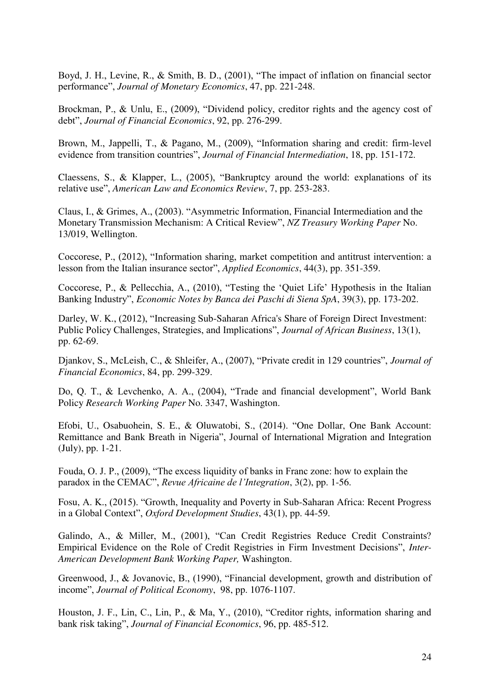Boyd, J. H., Levine, R., & Smith, B. D., (2001), "The impact of inflation on financial sector performance", *Journal of Monetary Economics*, 47, pp. 221-248.

Brockman, P., & Unlu, E., (2009), "Dividend policy, creditor rights and the agency cost of debt", *Journal of Financial Economics*, 92, pp. 276-299.

Brown, M., Jappelli, T., & Pagano, M., (2009), "Information sharing and credit: firm-level evidence from transition countries", *Journal of Financial Intermediation*, 18, pp. 151-172.

Claessens, S., & Klapper, L., (2005), "Bankruptcy around the world: explanations of its relative use", *American Law and Economics Review*, 7, pp. 253-283.

Claus, I., & Grimes, A., (2003). "Asymmetric Information, Financial Intermediation and the Monetary Transmission Mechanism: A Critical Review", *NZ Treasury Working Paper* No. 13/019, Wellington.

Coccorese, P., (2012), "Information sharing, market competition and antitrust intervention: a lesson from the Italian insurance sector", *Applied Economics*, 44(3), pp. 351-359.

Coccorese, P., & Pellecchia, A., (2010), "Testing the 'Quiet Life' Hypothesis in the Italian Banking Industry", *Economic Notes by Banca dei Paschi di Siena SpA*, 39(3), pp. 173-202.

Darley, W. K., (2012), "Increasing Sub-Saharan Africa's Share of Foreign Direct Investment: Public Policy Challenges, Strategies, and Implications", *Journal of African Business*, 13(1), pp. 62-69.

Djankov, S., McLeish, C., & Shleifer, A., (2007), "Private credit in 129 countries", *Journal of Financial Economics*, 84, pp. 299-329.

Do, Q. T., & Levchenko, A. A., (2004), "Trade and financial development", World Bank Policy *Research Working Paper* No. 3347, Washington.

Efobi, U., Osabuohein, S. E., & Oluwatobi, S., (2014). "One Dollar, One Bank Account: Remittance and Bank Breath in Nigeria", Journal of International Migration and Integration (July), pp. 1-21.

Fouda, O. J. P., (2009), "The excess liquidity of banks in Franc zone: how to explain the paradox in the CEMAC", *Revue Africaine de l'Integration*, 3(2), pp. 1-56.

Fosu, A. K., (2015). "Growth, Inequality and Poverty in Sub-Saharan Africa: Recent Progress in a Global Context", *Oxford Development Studies*, 43(1), pp. 44-59.

Galindo, A., & Miller, M., (2001), "Can Credit Registries Reduce Credit Constraints? Empirical Evidence on the Role of Credit Registries in Firm Investment Decisions", *Inter-American Development Bank Working Paper,* Washington.

Greenwood, J., & Jovanovic, B., (1990), "Financial development, growth and distribution of income", *Journal of Political Economy*, 98, pp. 1076-1107.

Houston, J. F., Lin, C., Lin, P., & Ma, Y., (2010), "Creditor rights, information sharing and bank risk taking", *Journal of Financial Economics*, 96, pp. 485-512.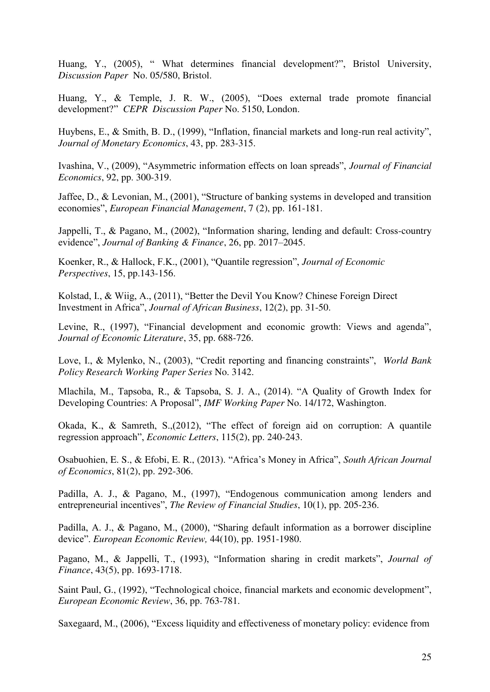Huang, Y., (2005), " What determines financial development?", Bristol University, *Discussion Paper* No. 05/580, Bristol.

Huang, Y., & Temple, J. R. W., (2005), "Does external trade promote financial development?" *CEPR Discussion Paper* No. 5150, London.

Huybens, E., & Smith, B. D., (1999), "Inflation, financial markets and long-run real activity", *Journal of Monetary Economics*, 43, pp. 283-315.

Ivashina, V., (2009), "Asymmetric information effects on loan spreads", *Journal of Financial Economics*, 92, pp. 300-319.

Jaffee, D., & Levonian, M., (2001), "Structure of banking systems in developed and transition economies", *European Financial Management*, 7 (2), pp. 161-181.

Jappelli, T., & Pagano, M., (2002), "Information sharing, lending and default: Cross-country evidence", *Journal of Banking & Finance*, 26, pp. 2017–2045.

Koenker, R., & Hallock, F.K., (2001), "Quantile regression", *Journal of Economic Perspectives*, 15, pp.143-156.

Kolstad, I., & Wiig, A., (2011), "Better the Devil You Know? Chinese Foreign Direct Investment in Africa", *Journal of African Business*, 12(2), pp. 31-50.

Levine, R., (1997), "Financial development and economic growth: Views and agenda", *Journal of Economic Literature*, 35, pp. 688-726.

Love, I., & Mylenko, N., (2003), "Credit reporting and financing constraints", *World Bank Policy Research Working Paper Series* No. 3142.

Mlachila, M., Tapsoba, R., & Tapsoba, S. J. A., (2014). "A Quality of Growth Index for Developing Countries: A Proposal", *IMF Working Paper* No. 14/172, Washington.

Okada, K., & Samreth, S.,(2012), "The effect of foreign aid on corruption: A quantile regression approach", *Economic Letters*, 115(2), pp. 240-243.

Osabuohien, E. S., & Efobi, E. R., (2013). "Africa's Money in Africa", *South African Journal of Economics*, 81(2), pp. 292-306.

Padilla, A. J., & Pagano, M., (1997), "Endogenous communication among lenders and entrepreneurial incentives", *The Review of Financial Studies*, 10(1), pp. 205-236.

Padilla, A. J., & Pagano, M., (2000), "Sharing default information as a borrower discipline device". *European Economic Review,* 44(10), pp. 1951-1980.

Pagano, M., & Jappelli, T., (1993), "Information sharing in credit markets", *Journal of Finance*, 43(5), pp. 1693-1718.

Saint Paul, G., (1992), "Technological choice, financial markets and economic development", *European Economic Review*, 36, pp. 763-781.

Saxegaard, M., (2006), "Excess liquidity and effectiveness of monetary policy: evidence from